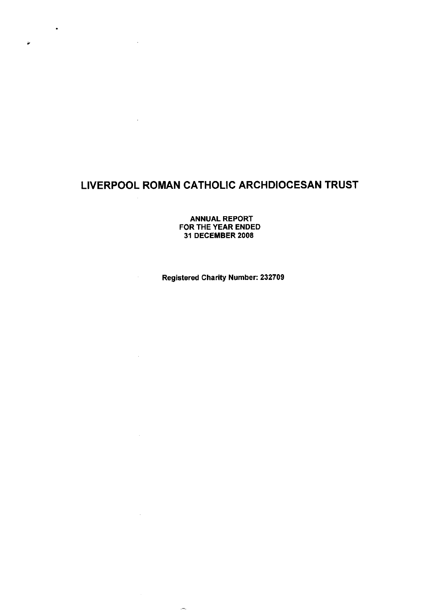$\bullet$ 

 $\omega$ 

 $\bar{\mathcal{A}}$ 

 $\sim 10^7$ 

 $\alpha$ 

 $\sim 10$ 

 $\sim 10^7$ 

 $\sim$   $\sim$ 

 $\sim$ 

 $\overline{\phantom{a}}$ 

**ANNUAL REPORT FOR THE YEAR ENDED 31 DECEMBER 2008**

**Registered Charity Number: 232709**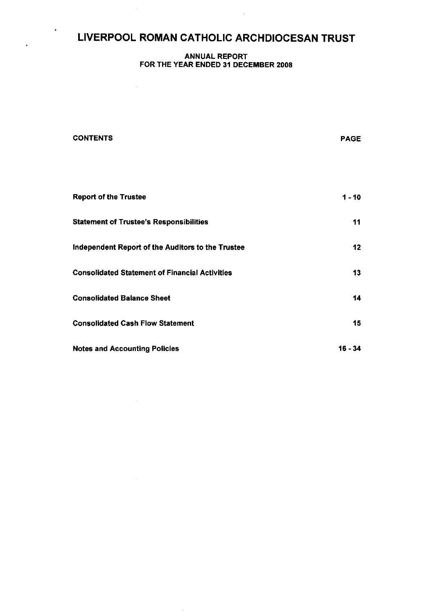$\ddot{\phantom{1}}$ 

### **ANNUAL REPORT FOR THE YEAR ENDED 31 DECEMBER 2008**

 $\sim 10^{-11}$ 

 $\mathcal{A}^{\mathcal{A}}$ 

| <b>CONTENTS</b>                                       | <b>PAGE</b>     |
|-------------------------------------------------------|-----------------|
|                                                       |                 |
| <b>Report of the Trustee</b>                          | 1 - 10          |
| <b>Statement of Trustee's Responsibilities</b>        | 11              |
| Independent Report of the Auditors to the Trustee     | 12 <sub>2</sub> |
| <b>Consolidated Statement of Financial Activities</b> | 13 <sup>°</sup> |
| <b>Consolidated Balance Sheet</b>                     | 14              |
| <b>Consolidated Cash Flow Statement</b>               | 15 <sub>1</sub> |
| <b>Notes and Accounting Policies</b>                  | 16 - 34         |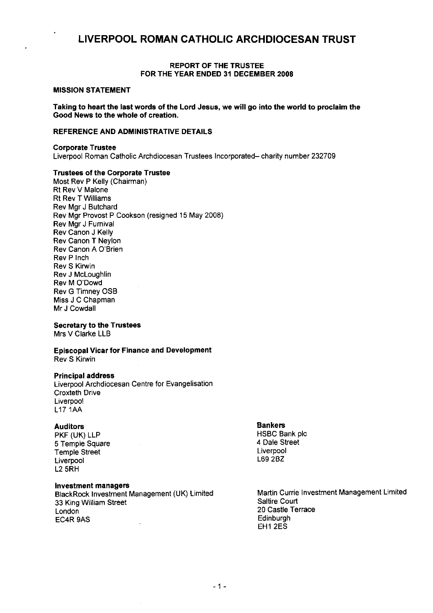#### **REPORT OF THE TRUSTEE FOR THE YEAR ENDED** 31 DECEMBER **2008**

#### **MISSION STATEMENT**

**Taking to heart the last words of the Lord Jesus, we will go into the world to proclaim the Good News to the whole of creation.**

### **REFERENCE AND ADMINISTRATIVE DETAILS**

#### **Corporate Trustee**

Liverpool Roman Catholic Archdiocesan Trustees Incorporated— charity number 232709

### **Trustees of the Corporate Trustee**

Most Rev P Kelly (Chairman) Rt Rev V Malone Rt Rev T Williams Rev Mgr J Butchard Rev Mgr Provost P Cookson (resigned 15 May 2008) Rev Mgr J Furnival Rev Canon J Kelly Rev Canon T Neylon Rev Canon A O'Brien Rev P Inch Rev S Kirwin Rev J McLoughlin Rev M O'Dowd Rev G Timney OSB Miss J C Chapman Mr J Cowdall

### **Secretary to the Trustees**

Mrs V Clarke LLB

**Episcopal Vicar for Finance and Development** Rev S Kirwin

### **Principal address**

Liverpool Archdiocesan Centre for Evangelisation Croxteth Drive **Liverpool** L17 1AA

#### **Auditors**

PKF (UK) LLP 5 Temple Square Temple Street Liverpool L2 5RH

### **Investment managers**

BlackRock Investment Management (UK) Limited 33 King William Street London EC4R 9AS

#### Bankers

HSBC Bank plc 4 Dale Street Liverpool L69 2BZ

Martin Currie Investment Management Limited Saltire Court 20 Castle Terrace **Edinburgh** EH1 2ES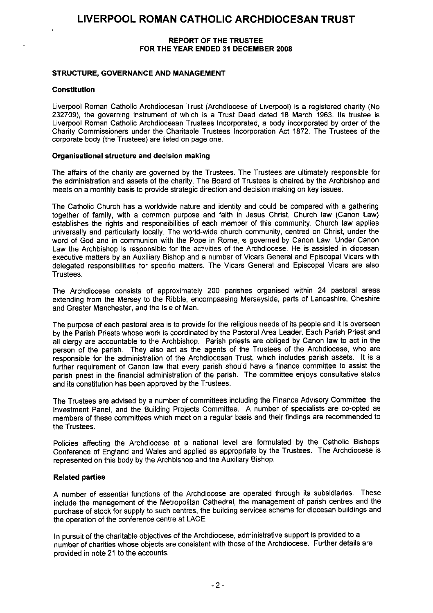### **REPORT OF THE TRUSTEE FOR THE YEAR ENDED 31 DECEMBER 2008**

### **STRUCTURE, GOVERNANCE AND MANAGEMENT**

### **Constitution**

Liverpool Roman Catholic Archdiocesan Trust (Archdiocese of Liverpool) is a registered charity (No 232709), the governing instrument of which is a Trust Deed dated 18 March 1963. Its trustee is Liverpool Roman Catholic Archdiocesan Trustees Incorporated, a body incorporated by order of the Charity Commissioners under the Charitable Trustees Incorporation Act 1872. The Trustees of the corporate body (the Trustees) are listed on page one.

### **Organisational structure and decision making**

The affairs of the charity are governed by the Trustees. The Trustees are ultimately responsible for the administration and assets of the charity. The Board of Trustees is chaired by the Archbishop and meets on a monthly basis to provide strategic direction and decision making on key issues.

The Catholic Church has a worldwide nature and identity and could be compared with a gathering together of family, with a common purpose and faith in Jesus Christ Church law (Canon Law) establishes the rights and responsibilities of each member of this community. Church law applies universally and particularly locally. The world-wide church community, centred on Christ, under the word of God and in communion with the Pope in Rome, is governed by Canon Law. Under Canon Law the Archbishop is responsible for the activities of the Archdiocese. He is assisted in diocesan executive matters by an Auxiliary Bishop and a number of Vicars General and Episcopal Vicars with delegated responsibilities for specific matters. The Vicars General and Episcopal Vicars are also Trustees.

The Archdiocese consists of approximately 200 parishes organised within 24 pastoral areas extending from the Mersey to the Ribble, encompassing Merseyside, parts of Lancashire, Cheshire and Greater Manchester, and the Isle of Man.

The purpose of each pastoral area is to provide for the religious needs of its people and it is overseen by the Parish Priests whose work is coordinated by the Pastoral Area Leader. Each Parish Priest and all clergy are accountable to the Archbishop. Parish priests are obliged by Canon law to act in the person of the parish. They also act as the agents of the Trustees of the Archdiocese, who are responsible for the administration of the Archdiocesan Trust, which includes parish assets. It is a further requirement of Canon law that every parish should have a finance committee to assist the parish priest in the financial administration of the parish. The committee enjoys consultative status and its constitution has been approved by the Trustees.

The Trustees are advised by a number of committees including the Finance Advisory Committee, the Investment Panel, and the Building Projects Committee. A number of specialists are co-opted as members of these committees which meet on a regular basis and their findings are recommended to the Trustees.

Policies affecting the Archdiocese at a national level are formulated by the Catholic Bishops' Conference of England and Wales and applied as appropriate by the Trustees. The Archdiocese is represented on this body by the Archbishop and the Auxiliary Bishop.

### **Related parties**

A number of essential functions of the Archdiocese are operated through its subsidiaries. These include the management of the Metropolitan Cathedral, the management of parish centres and the purchase of stock for supply to such centres, the building services scheme for diocesan buildings and the operation of the conference centre at LACE.

In pursuit of the charitable objectives of the Archdiocese, administrative support is provided to a number of charities whose objects are consistent with those of the Archdiocese. Further details are provided in note 21 to the accounts.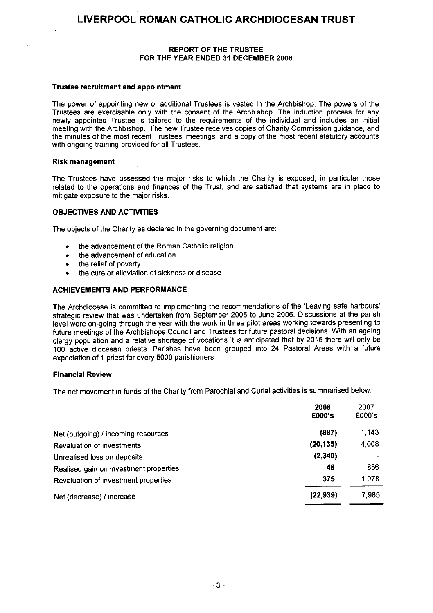### **REPORT OF THE TRUSTEE FOR THE YEAR ENDED 31 DECEMBER 2008**

### **Trustee recruitment and appointment**

The power of appointing new or additional Trustees is vested in the Archbishop. The powers of the Trustees are exercisable only with the consent of the Archbishop. The induction process for any newly appointed Trustee is tailored to the requirements of the individual and includes an initial meeting with the Archbishop. The new Trustee receives copies of Charity Commission guidance, and the minutes of the most recent Trustees' meetings, and a copy of the most recent statutory accounts with ongoing training provided for all Trustees.

### **Risk management**

The Trustees have assessed the major risks to which the Charity is exposed, in particular those related to the operations and finances of the Trust, and are satisfied that systems are in place to mitigate exposure to the major risks.

### **OBJECTIVES AND ACTIVITIES**

The objects of the Charity as declared in the governing document are:

- the advancement of the Roman Catholic religion
- the advancement of education
- the relief of poverty
- the cure or alleviation of sickness or disease

### **ACHIEVEMENTS AND PERFORMANCE**

The Archdiocese is committed to implementing the recommendations of the 'Leaving safe harbours' strategic review that was undertaken from September 2005 to June 2006. Discussions at the parish level were on-going through the year with the work in three pilot areas working towards presenting to future meetings of the Archbishops Council and Trustees for future pastoral decisions. With an ageing clergy population and a relative shortage of vocations it is anticipated that by 2015 there will only be 100 active diocesan priests. Parishes have been grouped into 24 Pastoral Areas with a future expectation of 1 priest for every 5000 parishioners

### **Financial Review**

The net movement in funds of the Charity from Parochial and Curial activities is summarised below.

|                                        | 2008<br>£000's | 2007<br>£000's |
|----------------------------------------|----------------|----------------|
| Net (outgoing) / incoming resources    | (887)          | 1,143          |
| <b>Revaluation of investments</b>      | (20, 135)      | 4,008          |
| Unrealised loss on deposits            | (2,340)        |                |
| Realised gain on investment properties | 48             | 856            |
| Revaluation of investment properties   | 375            | 1,978          |
| Net (decrease) / increase              | (22, 939)      | 7985           |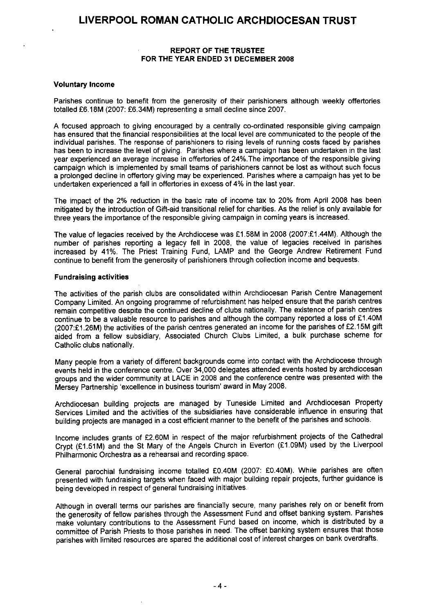### **REPORT OF THE TRUSTEE FOR THE YEAR ENDED 31 DECEMBER 2008**

### **Voluntary Income**

Parishes continue to benefit from the generosity of their parishioners although weekly offertories totalled £6.18M (2007: £6.34M) representing a small decline since 2007.

A focused approach to giving encouraged by a centrally co-ordinated responsible giving campaign has ensured that the financial responsibilities at the local level are communicated to the people of the individual parishes. The response of parishioners to rising levels of running costs faced by parishes has been to increase the level of giving. Parishes where a campaign has been undertaken in the last year experienced an average increase in offertories of 24%.The importance of the responsible giving campaign which is implemented by small teams of parishioners cannot be lost as without such focus a prolonged decline in offertory giving may be experienced. Parishes where a campaign has yet to be undertaken experienced a fall in offertories in excess of 4% in the last year.

The impact of the 2% reduction in the basic rate of income tax to 20% from April 2008 has been mitigated by the introduction of Gift-aid transitional relief for charities. As the relief is only available for three years the importance of the responsible giving campaign in coming years is increased.

The value of legacies received by the Archdiocese was £1.58M in 2008 (2007:£1.44M). Although the number of parishes reporting a legacy fell in 2008, the value of legacies received in parishes increased by 41%. The Priest Training Fund, LAMP and the George Andrew Retirement Fund continue to benefit from the generosity of parishioners through collection income and bequests.

### **Fundraising activities**

The activities of the parish clubs are consolidated within Archdiocesan Parish Centre Management Company Limited. An ongoing programme of refurbishment has helped ensure that the parish centres remain competitive despite the continued decline of clubs nationally. The existence of parish centres continue to be a valuable resource to parishes and although the company reported a loss of £1.40M (2007:£1.26M) the activities of the parish centres generated an income for the parishes of £2.15M gift aided from a fellow subsidiary, Associated Church Clubs Limited, a bulk purchase scheme for Catholic clubs nationally.

Many people from a variety of different backgrounds come into contact with the Archdiocese through events held in the conference centre. Over 34,000 delegates attended events hosted by archdiocesan groups and the wider community at LACE in 2008 and the conference centre was presented with the Mersey Partnership 'excellence in business tourism' award in May 2008.

Archdiocesan building projects are managed by Tuneside Limited and Archdiocesan Property Services Limited and the activities of the subsidiaries have considerable influence in ensuring that building projects are managed in a cost efficient manner to the benefit of the parishes and schools.

Income includes grants of £2.60M in respect of the major refurbishment projects of the Cathedral Crypt (£1.51M) and the St Mary of the Angels Church in Everton (£1.09M) used by the Liverpool Philharmonic Orchestra as a rehearsal and recording space.

General parochial fundraising income totalled £0.40M (2007: £0.40M). While parishes are often presented with fundraising targets when faced with major building repair projects, further guidance is being developed in respect of general fundraising initiatives.

Although in overall terms our parishes are financially secure, many parishes rely on or benefit from the generosity of fellow parishes through the Assessment Fund and offset banking system. Parishes make voluntary contributions to the Assessment Fund based on income, which is distributed by a committee of Parish Priests to those parishes in need. The offset banking system ensures that those parishes with limited resources are spared the additional cost of interest charges on bank overdrafts.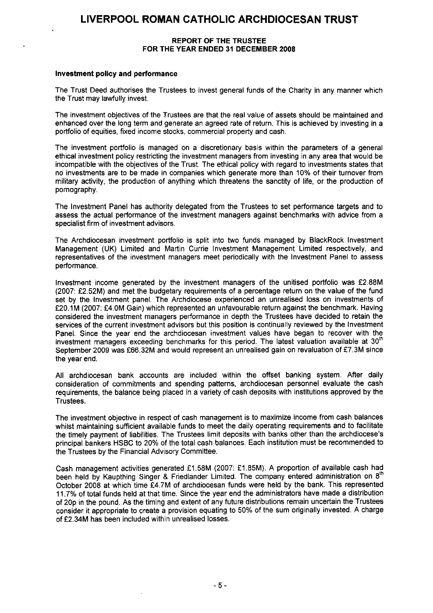#### **REPORT OF THE TRUSTEE FOR THE YEAR ENDED** 31 DECEMBER 2008

#### **Investment policy and performance**

The Trust Deed authorises the Trustees to invest general funds of the Charity in any manner which the Trust may lawfully invest.

The investment objectives of the Trustees are that the real value of assets should be maintained and enhanced over the long term and generate an agreed rate of return. This is achieved by investing in a portfolio of equities, fixed income stocks, commercial property and cash.

The investment portfolio is managed on a discretionary basis within the parameters of a general ethical investment policy restricting the investment managers from investing in any area that would be incompatible with the objectives of the Trust. The ethical policy with regard to investments states that no investments are to be made in companies which generate more than 10% of their turnover from military activity, the production of anything which threatens the sanctity of life, or the production of pornography.

The Investment Panel has authority delegated from the Trustees to set performance targets and to assess the actual performance of the investment managers against benchmarks with advice from a specialist firm of investment advisors.

The Archdiocesan investment portfolio is split into two funds managed by BlackRock Investment Management (UK) Limited and Martin Currie Investment Management Limited respectively, and representatives of the investment managers meet periodically with the Investment Panel to assess performance.

Investment income generated by the investment managers of the unitised portfolio was £2.88M (2007: £2.52M) and met the budgetary requirements of a percentage return on the value of the fund set by the Investment panel. The Archdiocese experienced an unrealised loss on investments of £20.1M (2007: £4.0M Gain) which represented an unfavourable return against the benchmark. Having considered the investment managers performance in depth the Trustees have decided to retain the services of the current investment advisors but this position is continually reviewed by the Investment Panel. Since the year end the archdiocesan investment values have began to recover with the investment managers exceeding benchmarks for this period. The latest valuation available at 30<sup>th</sup> September 2009 was £66.32M and would represent an unrealised gain on revaluation of £7.3M since the year end.

All archdiocesan bank accounts are included within the offset banking system. After daily consideration of commitments and spending patterns, archdiocesan personnel evaluate the cash requirements, the balance being placed in a variety of cash deposits with institutions approved by the Trustees.

The investment objective in respect of cash management is to maximize income from cash balances whilst maintaining sufficient available funds to meet the daily operating requirements and to facilitate the timely payment of liabilities. The Trustees limit deposits with banks other than the archdiocese's principal bankers HSBC to 20% of the total cash balances. Each institution must be recommended to the Trustees by the Financial Advisory Committee.

Cash management activities generated £1.58M (2007: £1.85M). A proportion of available cash had been held by Kaupthing Singer & Friedlander Limited. The company entered administration on 8<sup>th</sup> October 2008 at which time E4.7M of archdiocesan funds were held by the bank. This represented 11.7% of total funds held at that time. Since the year end the administrators have made a distribution of 20p in the pound. As the timing and extent of any future distributions remain uncertain the Trustees consider it appropriate to create a provision equating to 50% of the sum originally invested. A charge of £2.34M has been included within unrealised losses.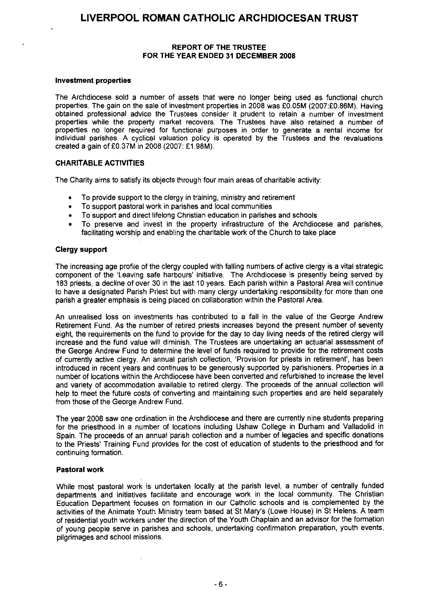### **REPORT OF THE TRUSTEE FOR THE YEAR ENDED 31 DECEMBER 2008**

#### **Investment properties**

The Archdiocese sold a number of assets that were no longer being used as functional church properties. The gain on the sale of investment properties in 2008 was £0.05M (2007:£0.86M). Having obtained professional advice the Trustees consider it prudent to retain a number of investment properties while the property market recovers. The Trustees have also retained a number of properties no longer required for functional purposes in order to generate a rental income for individual parishes. A cyclical valuation policy is operated by the Trustees and the revaluations created a gain of £0.37M in 2008 (2007: £1.98M).

### CHARITABLE ACTIVITIES

The Charity aims to satisfy its objects through four main areas of charitable activity:

- To provide support to the clergy in training, ministry and retirement
- To support pastoral work in parishes and local communities
- To support and direct lifelong Christian education in parishes and schools
- To preserve and invest in the property infrastructure of the Archdiocese and parishes, facilitating worship and enabling the charitable work of the Church to take place

### **Clergy support**

The increasing age profile of the clergy coupled with falling numbers of active clergy is a vital strategic component of the 'Leaving safe harbours' initiative. The Archdiocese is presently being served by 183 priests, a decline of over 30 in the last 10 years. Each parish within a Pastoral Area will continue to have a designated Parish Priest but with many clergy undertaking responsibility for more than one parish a greater emphasis is being placed on collaboration within the Pastoral Area.

An unrealised loss on inyestments has contributed to a fall in the value of the George Andrew Retirement Fund. As the number of retired priests increases beyond the present number of seventy eight, the requirements on the fund to provide for the day to day living needs of the retired clergy will increase and the fund value will diminish. The Trustees are undertaking an actuarial assessment of the George Andrew Fund to determine the level of funds required to provide for the retirement costs of currently active clergy. An annual parish collection, 'Provision for priests in retirement', has been introduced in recent years and continues to be generously supported by parishioners. Properties in a number of locations within the Archdiocese have been converted and refurbished to increase the level and variety of accommodation available to retired clergy. The proceeds of the annual collection will help to meet the future costs of converting and maintaining such properties and are held separately from those of the George Andrew Fund.

The year 2008 saw one ordination in the Archdiocese and there are currently nine students preparing for the priesthood in a number of locations including Ushaw College in Durham and Valladolid in Spain. The proceeds of an annual parish collection and a number of legacies and specific donations to the Priests' Training Fund provides for the cost of education of students to the priesthood and for continuing formation.

### **Pastoral work**

While most pastoral work is undertaken locally at the parish level, a number of centrally funded departments and initiatives facilitate and encourage work in the local community. The Christian Education Department focuses on formation in our Catholic schools and is complemented by the activities of the Animate Youth Ministry team based at St Mary's (Lowe House) in St Helens. A team of residential youth workers under the direction of the Youth Chaplain and an advisor for the formation of young people serve in parishes and schools, undertaking confirmation preparation, youth events, pilgrimages and school missions.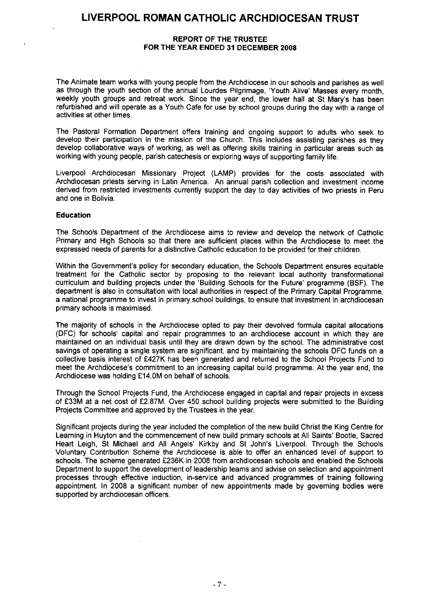### **REPORT OF THE TRUSTEE FOR THE YEAR ENDED 31 DECEMBER 2008**

The Animate team works with young people from the Archdiocese in our schools and parishes as well as through the youth section of the annual Lourdes Pilgrimage, 'Youth Alive' Masses every month, weekly youth groups and retreat work. Since the year end, the lower hall at St Mary's has been refurbished and will operate as a Youth Cafe for use by school groups during the day with a range of activities at other times.

The Pastoral Formation Department offers training and ongoing support to adults who seek to develop their participation in the mission of the Church. This includes assisting parishes as they develop collaborative ways of working, as well as offering skills training in particular areas such as working with young people, parish catechesis or exploring ways of supporting family life.

Liverpool Archdiocesan Missionary Project (LAMP) provides for the costs associated with Archdiocesan priests serving in Latin America. An annual parish collection and investment income derived from restricted investments currently support the day to day activities of two priests in Peru and one in Bolivia.

### **Education**

The Schools Department of the Archdiocese aims to review and develop the network of Catholic Primary and High Schools so that there are sufficient places within the Archdiocese to meet the expressed needs of parents for a distinctive Catholic education to be provided for their children.

Within the Government's policy for secondary education, the Schools Department ensures equitable treatment for the Catholic sector by proposing to the relevant local authority transformational curriculum and building projects under the 'Building Schools for the Future' programme (BSF). The department is also in consultation with local authorities in respect of the Primary Capital Programme, a national programme to invest in primary school buildings, to ensure that investment in archdiocesan primary schools is maximised.

The majority of schools in the Archdiocese opted to pay their devolved formula capital allocations (DFC) for schools' capital and repair programmes to an archdiocese account in which they are maintained on an individual basis until they are drawn down by the school. The administrative cost savings of operating a single system are significant, and by maintaining the schools DFC funds on a collective basis interest of £427K has been generated and returned to the School Projects Fund to meet the Archdiocese's commitment to an increasing capital build programme. At the year end, the Archdiocese was holding £14.0M on behalf of schools.

Through the School Projects Fund, the Archdiocese engaged in capital and repair projects in excess of £33M at a net cost of £2.87M. Over 450 school building projects were submitted to the Building Projects Committee and approved by the Trustees in the year.

Significant projects during the year included the completion of the new build Christ the King Centre for Learning in Huyton and the commencement of new build primary schools at All Saints' Bootle, Sacred Heart Leigh, St Michael and All Angels' Kirkby and St John's Liverpool. Through the Schools Voluntary Contribution Scheme the Archdiocese is able to offer an enhanced level of support to schools. The scheme generated £236K in 2008 from archdiocesan schools and enabled the Schools Department to support the development of leadership teams and advise on selection and appointment processes through effective induction, in-service and advanced programmes of training following appointment. In 2008 a significant number of new appointments made by governing bodies were supported by archdiocesan officers.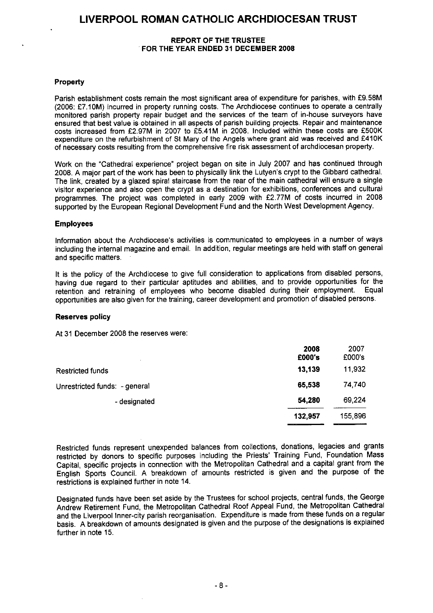### **REPORT OF THE TRUSTEE FOR THE YEAR ENDED 31 DECEMBER 2008**

### Property

Parish establishment costs remain the most significant area of expenditure for parishes, with £9.58M (2006: £7.10M) incurred in property running costs. The Archdiocese continues to operate a centrally monitored parish property repair budget and the services of the team of in-house surveyors have ensured that best value is obtained in all aspects of parish building projects. Repair and maintenance costs increased from £2.97M in 2007 to £5.41M in 2008. Included within these costs are £500K expenditure on the refurbishment of St Mary of the Angels where grant aid was received and £410K of necessary costs resulting from the comprehensive fire risk assessment of archdiocesan property.

Work on the "Cathedral experience" project began on site in July 2007 and has continued through 2008. A major part of the work has been to physically link the Lutyen's crypt to the Gibbard cathedral. The link, created by a glazed spiral staircase from the rear of the main cathedral will ensure a single visitor experience and also open the crypt as a destination for exhibitions, conferences and cultural programmes. The project was completed in early 2009 with £2.77M of costs incurred in 2008 supported by the European Regional Development Fund and the North West Development Agency.

### **Employees**

Information about the Archdiocese's activities is communicated to employees in a number of ways including the internal magazine and email. In addition, regular meetings are held with staff on general and specific matters.

It is the policy of the Archdiocese to give full consideration to applications from disabled persons, having due regard to their particular aptitudes and abilities, and to provide opportunities for the retention and retraining of employees who become disabled during their employment. Equal opportunities are also given for the training, career development and promotion of disabled persons.

### **Reserves policy**

At 31 December 2008 the reserves were:

|                               | 2008<br>£000's | 2007<br>£000's |
|-------------------------------|----------------|----------------|
| Restricted funds              | 13,139         | 11,932         |
| Unrestricted funds: - general | 65,538         | 74,740         |
| - designated                  | 54,280         | 69,224         |
|                               | 132,957        | 155,896        |
|                               |                |                |

Restricted funds represent unexpended balances from collections, donations, legacies and grants restricted by donors to specific purposes including the Priests' Training Fund, Foundation Mass Capital, specific projects in connection with the Metropolitan Cathedral and a capital grant from the English Sports Council. A breakdown of amounts restricted is given and the purpose of the restrictions is explained further in note 14.

Designated funds have been set aside by the Trustees for school projects, central funds, the George Andrew Retirement Fund, the Metropolitan Cathedral Roof Appeal Fund, the Metropolitan Cathedral and the Liverpool Inner-city parish reorganisation. Expenditure is made from these funds on a regular basis. A breakdown of amounts designated is given and the purpose of the designations is explained further in note 15.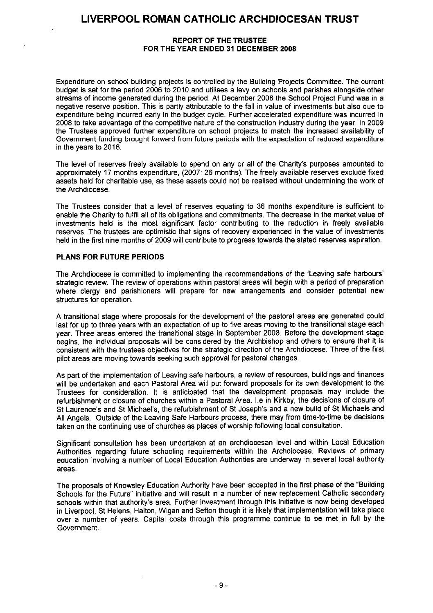### **REPORT OF** THE TRUSTEE FOR THE YEAR ENDED 31 **DECEMBER 2008**

Expenditure on school building projects is controlled by the Building Projects Committee. The current budget is set for the period 2006 to 2010 and utilises a levy on schools and parishes alongside other streams of income generated during the period. At December 2008 the School Project Fund was in a negative reserve position. This is partly attributable to the fall in value of investments but also due to expenditure being incurred early in the budget cycle. Further accelerated expenditure was incurred in 2008 to take advantage of the competitive nature of the construction industry during the year. In 2009 the Trustees approved further expenditure on school projects to match the increased availability of Government funding brought forward from future periods with the expectation of reduced expenditure in the years to 2016.

The level of reserves freely available to spend on any or all of the Charity's purposes amounted to approximately 17 months expenditure, (2007: 26 months). The freely available reserves exclude fixed assets held for charitable use, as these assets could not be realised without undermining the work of the Archdiocese.

The Trustees consider that a level of reserves equating to 36 months expenditure is sufficient to enable the Charity to fulfil all of its obligations and commitments. The decrease in the market value of investments held is the most significant factor contributing to the reduction in freely available reserves. The trustees are optimistic that signs of recovery experienced in the value of investments held in the first nine months of 2009 will contribute to progress towards the stated reserves aspiration.

### **PLANS FOR FUTURE PERIODS**

The Archdiocese is committed to implementing the recommendations of the 'Leaving safe harbours' strategic review. The review of operations within pastoral areas will begin with a period of preparation where clergy and parishioners will prepare for new arrangements and consider potential new structures for operation.

A transitional stage where proposals for the development of the pastoral areas are generated could last for up to three years with an expectation of up to five areas moving to the transitional stage each year. Three areas entered the transitional stage in September 2008. Before the development stage begins, the individual proposals will be considered by the Archbishop and others to ensure that it is consistent with the trustees objectives for the strategic direction of the Archdiocese. Three of the first pilot areas are moving towards seeking such approval for pastoral changes.

As part of the implementation of Leaving safe harbours, a review of resources, buildings and finances will be undertaken and each Pastoral Area will put forward proposals for its own development to the Trustees for consideration. It is anticipated that the development proposals may include the refurbishment or closure of churches within a Pastoral Area. I.e in Kirkby, the decisions of closure of St Laurence's and St Michael's, the refurbishment of St Joseph's and a new build of St Michaels and All Angels. Outside of the Leaving Safe Harbours process, there may from time-to-time be decisions taken on the continuing use of churches as places of worship following local consultation.

Significant consultation has been undertaken at an archdiocesan level and within Local Education Authorities regarding future schooling requirements within the Archdiocese. Reviews of primary education involving a number of Local Education Authorities are underway in several local authority areas.

The proposals of Knowsley Education Authority have been accepted in the first phase of the "Building Schools for the Future" initiative and will result in a number of new replacement Catholic secondary schools within that authority's area. Further investment through this initiative is now being developed in Liverpool, St Helens, Halton, Wigan and Sefton though it is likely that implementation will take place over a number of years. Capital costs through this programme continue to be met in full by the Government.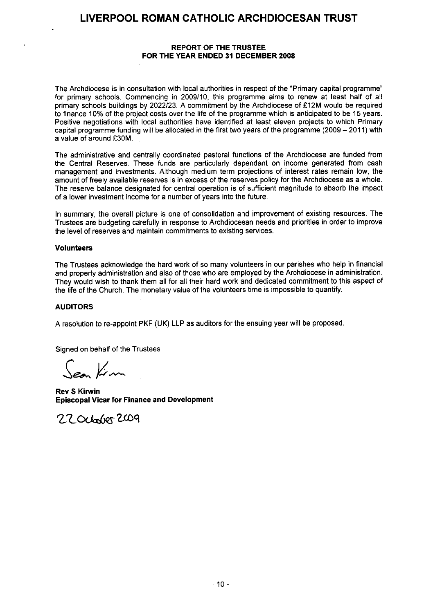### **REPORT OF THE TRUSTEE FOR THE YEAR ENDED 31 DECEMBER 2008**

The Archdiocese is in consultation with local authorities in respect of the "Primary capital programme" for primary schools. Commencing in 2009/10, this programme aims to renew at least half of all primary schools buildings by 2022/23. A commitment by the Archdiocese of £12M would be required to finance 10% of the project costs over the life of the programme which is anticipated to be 15 years. Positive negotiations with local authorities have identified at least eleven projects to which Primary capital programme funding will be allocated in the first two years of the programme (2009 — 2011) with a value of around £30M.

The administrative and centrally coordinated pastoral functions of the Archdiocese are funded from the Central Reserves. These funds are particularly dependant on income generated from cash management and investments. Although medium term projections of interest rates remain low, the amount of freely available reserves is in excess of the reserves policy for the Archdiocese as a whole. The reserve balance designated for central operation is of sufficient magnitude to absorb the impact of a lower investment income for a number of years into the future.

In summary, the overall picture is one of consolidation and improvement of existing resources The Trustees are budgeting carefully in response to Archdiocesan needs and priorities in order to improve the level of reserves and maintain commitments to existing services.

#### **Volunteers**

The Trustees acknowledge the hard work of so many volunteers in our parishes who help in financial and property administration and also of those who are employed by the Archdiocese in administration. They would wish to thank them all for all their hard work and dedicated commitment to this aspect of the life of the Church. The monetary value of the volunteers time is impossible to quantify.

#### **AUDITORS**

A resolution to re-appoint PKF (UK) LLP as auditors for the ensuing year will be proposed.

Signed on behalf of the Trustees

San Kim

**Rev** S **Kirwin Episcopal Vicar for Finance and** Development

22 October 2009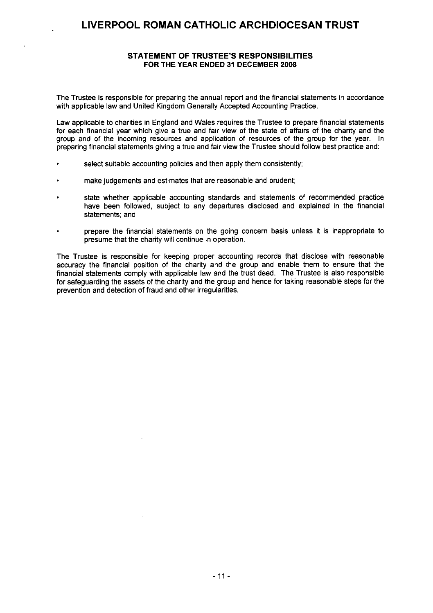### **STATEMENT OF TRUSTEE'S RESPONSIBILITIES FOR THE YEAR ENDED 31 DECEMBER 2008**

The Trustee is responsible for preparing the annual report and the financial statements in accordance with applicable law and United Kingdom Generally Accepted Accounting Practice.

Law applicable to charities in England and Wales requires the Trustee to prepare financial statements for each financial year which give a true and fair view of the state of affairs of the charity and the group and of the incoming resources and application of resources of the group for the year. In preparing financial statements giving a true and fair view the Trustee should follow best practice and:

- select suitable accounting policies and then apply them consistently;
- make judgements and estimates that are reasonable and prudent;
- state whether applicable accounting standards and statements of recommended practice have been followed, subject to any departures disclosed and explained in the financial statements; and
- prepare the financial statements on the going concern basis unless it is inappropriate to presume that the charity will continue in operation.

The Trustee is responsible for keeping proper accounting records that disclose with reasonable accuracy the financial position of the charity and the group and enable them to ensure that the financial statements comply with applicable law and the trust deed. The Trustee is also responsible for safeguarding the assets of the charity and the group and hence for taking reasonable steps for the prevention and detection of fraud and other irregularities.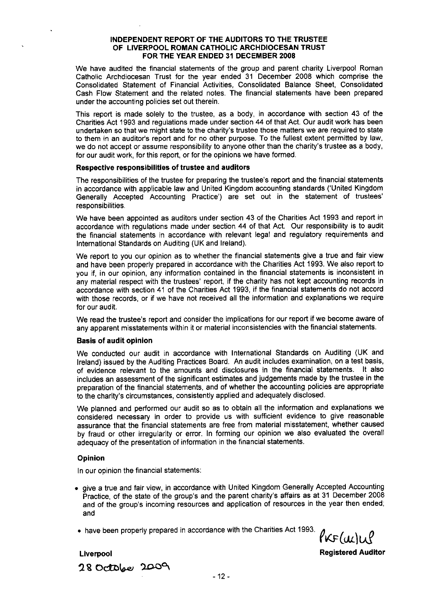#### **INDEPENDENT REPORT OF THE AUDITORS TO THE TRUSTEE OF LIVERPOOL ROMAN CATHOLIC ARCHDIOCESAN TRUST FOR THE YEAR ENDED 31 DECEMBER 2008**

We have audited the financial statements of the group and parent charity Liverpool Roman Catholic Archdiocesan Trust for the year ended 31 December 2008 which comprise the Consolidated Statement of Financial Activities, Consolidated Balance Sheet, Consolidated Cash Flow Statement and the related notes. The financial statements have been prepared under the accounting policies set out therein.

This report is made solely to the trustee, as a body, in accordance with section 43 of the Charities Act 1993 and regulations made under section 44 of that Act. Our audit work has been undertaken so that we might state to the charity's trustee those matters we are required to state to them in an auditor's report and for no other purpose. To the fullest extent permitted by law, we do not accept or assume responsibility to anyone other than the charity's trustee as a body, for our audit work, for this report, or for the opinions we have formed.

#### **Respective responsibilities of trustee and auditors**

The responsibilities of the trustee for preparing the trustee's report and the financial statements in accordance with applicable law and United Kingdom accounting standards ('United Kingdom Generally Accepted Accounting Practice') are set out in the statement of trustees' responsibilities.

We have been appointed as auditors under section 43 of the Charities Act 1993 and report in accordance with regulations made under section 44 of that Act. Our responsibility is to audit the financial statements in accordance with relevant legal and regulatory requirements and International Standards on Auditing (UK and Ireland).

We report to you our opinion as to whether the financial statements give a true and fair view and have been properly prepared in accordance with the Charities Act 1993. We also report to you if, in our opinion, any information contained in the financial statements is inconsistent in any material respect with the trustees' report, if the charity has not kept accounting records in accordance with section 41 of the Charities Act 1993, if the financial statements do not accord with those records, or if we have not received all the information and explanations we require for our audit.

We read the trustee's report and consider the implications for our report if we become aware of any apparent misstatements within it or material inconsistencies with the financial statements.

### **Basis of audit opinion**

We conducted our audit in accordance with International Standards on Auditing (UK and Ireland) issued by the Auditing Practices Board. An audit includes examination, on a test basis, of evidence relevant to the amounts and disclosures in the financial statements. It also includes an assessment of the significant estimates and judgements made by the trustee in the preparation of the financial statements, and of whether the accounting policies are appropriate to the charity's circumstances, consistently applied and adequately disclosed.

We planned and performed our audit so as to obtain all the information and explanations we considered necessary in order to provide us with sufficient evidence to give reasonable assurance that the financial statements are free from material misstatement, whether caused by fraud or other irregularity or error. In forming our opinion we also evaluated the overall adequacy of the presentation of information in the financial statements.

#### **Opinion**

In our opinion the financial statements:

• give a true and fair view, in accordance with United Kingdom Generally Accepted Accounting Practice, of the state of the group's and the parent charity's affairs as at 31 December 2008 and of the group's incoming resources and application of resources in the year then ended; and

• have been properly prepared in accordance with the Charities Act 1993.

 $\ell$ KF  $(\mu|\mu)$ 

**Liverpool Registered Auditor**

**28 Ocit4e `)-0)3°%**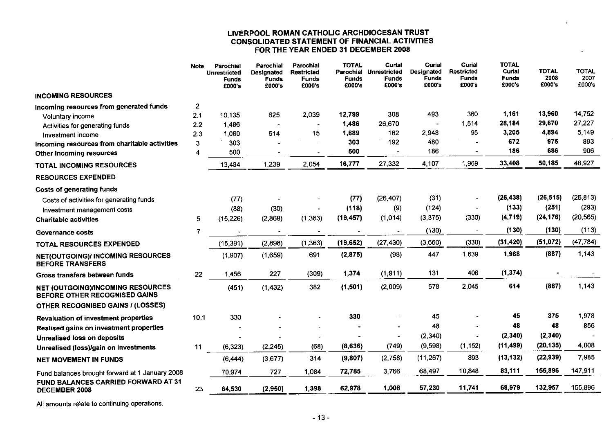### LIVERPOOL ROMAN CATHOLIC ARCHDIOCESAN TRUST CONSOLIDATED STATEMENT OF FINANCIAL ACTIVITIES FOR THE YEAR ENDED 31 DECEMBER 2008

|                                                                                  | <b>Note</b> | Parochial<br><b>Unrestricted</b><br><b>Funds</b><br>£000's | Parochial<br>Designated<br><b>Funds</b><br>£000's | Parochial<br><b>Restricted</b><br>Funds<br>£000's | <b>TOTAL</b><br>Parochial<br><b>Funds</b><br>£000's | Curial<br><b>Unrestricted</b><br><b>Funds</b><br>£000's | Curial<br>Designated<br><b>Funds</b><br>£000's | Curial<br><b>Restricted</b><br>Funds<br>£000's | <b>TOTAL</b><br>Curial<br><b>Funds</b><br>£000's | <b>TOTAL</b><br>2008<br>£000's | <b>TOTAL</b><br>2007<br>£000's |
|----------------------------------------------------------------------------------|-------------|------------------------------------------------------------|---------------------------------------------------|---------------------------------------------------|-----------------------------------------------------|---------------------------------------------------------|------------------------------------------------|------------------------------------------------|--------------------------------------------------|--------------------------------|--------------------------------|
| <b>INCOMING RESOURCES</b>                                                        |             |                                                            |                                                   |                                                   |                                                     |                                                         |                                                |                                                |                                                  |                                |                                |
| Incoming resources from generated funds                                          | 2           |                                                            |                                                   |                                                   |                                                     |                                                         |                                                |                                                |                                                  |                                |                                |
| Voluntary income                                                                 | 2.1         | 10,135                                                     | 625                                               | 2,039                                             | 12,799                                              | 308                                                     | 493                                            | 360                                            | 1,161                                            | 13,960                         | 14,752                         |
| Activities for generating funds                                                  | 2.2         | 1,486                                                      |                                                   |                                                   | 1,486                                               | 26,670                                                  |                                                | 1,514<br>95                                    | 28,184<br>3,205                                  | 29,670<br>4,894                | 27,227<br>5,149                |
| Investment income                                                                | 2.3         | 1,060                                                      | 614                                               | 15                                                | 1,689<br>303                                        | 162<br>192                                              | 2,948<br>480                                   |                                                | 672                                              | 975                            | 893                            |
| Incoming resources from charitable activities                                    | 3<br>4      | 303<br>500                                                 | $\overline{a}$                                    | ÷                                                 | 500                                                 |                                                         | 186                                            |                                                | 186                                              | 686                            | 906                            |
| Other incoming resources                                                         |             |                                                            |                                                   |                                                   | 16,777                                              | 27,332                                                  | 4,107                                          | 1,969                                          | 33,408                                           | 50,185                         | 48,927                         |
| TOTAL INCOMING RESOURCES                                                         |             | 13,484                                                     | 1,239                                             | 2,054                                             |                                                     |                                                         |                                                |                                                |                                                  |                                |                                |
| <b>RESOURCES EXPENDED</b>                                                        |             |                                                            |                                                   |                                                   |                                                     |                                                         |                                                |                                                |                                                  |                                |                                |
| <b>Costs of generating funds</b>                                                 |             |                                                            |                                                   |                                                   |                                                     |                                                         |                                                |                                                |                                                  |                                |                                |
| Costs of activities for generating funds                                         |             | (77)                                                       |                                                   |                                                   | (77)                                                | (26, 407)                                               | (31)                                           |                                                | (26, 438)                                        | (26, 515)                      | (26, 813)                      |
| Investment management costs                                                      |             | (88)                                                       | (30)                                              |                                                   | (118)                                               | (9)                                                     | (124)                                          |                                                | (133)                                            | (251)                          | (293)                          |
| <b>Charitable activities</b>                                                     | 5           | (15, 226)                                                  | (2,868)                                           | (1, 363)                                          | (19, 457)                                           | (1, 014)                                                | (3, 375)                                       | (330)                                          | (4, 719)                                         | (24, 176)                      | (20, 565)                      |
| Governance costs                                                                 | 7           |                                                            |                                                   |                                                   |                                                     |                                                         | (130)                                          |                                                | (130)                                            | (130)                          | (113)                          |
| <b>TOTAL RESOURCES EXPENDED</b>                                                  |             | (15, 391)                                                  | (2,898)                                           | (1, 363)                                          | (19, 652)                                           | (27.430)                                                | (3,660)                                        | (330)                                          | (31, 420)                                        | (51,072)                       | (47, 784)                      |
| NET(OUTGOING)/ INCOMING RESOURCES<br><b>BEFORE TRANSFERS</b>                     |             | (1,907)                                                    | (1,659)                                           | 691                                               | (2, 875)                                            | (98)                                                    | 447                                            | 1,639                                          | 1,988                                            | (887)                          | 1,143                          |
| Gross transfers between funds                                                    | 22          | 1,456                                                      | 227                                               | (309)                                             | 1,374                                               | (1.911)                                                 | 131                                            | 406                                            | (1, 374)                                         |                                |                                |
| <b>NET (OUTGOING)/INCOMING RESOURCES</b><br><b>BEFORE OTHER RECOGNISED GAINS</b> |             | (451)                                                      | (1, 432)                                          | 382                                               | (1, 501)                                            | (2,009)                                                 | 578                                            | 2,045                                          | 614                                              | (887)                          | 1,143                          |
| <b>OTHER RECOGNISED GAINS / (LOSSES)</b>                                         |             |                                                            |                                                   |                                                   |                                                     |                                                         |                                                |                                                |                                                  |                                |                                |
| <b>Revaluation of investment properties</b>                                      | 10.1        | 330                                                        |                                                   |                                                   | 330                                                 |                                                         | 45                                             |                                                | 45                                               | 375                            | 1,978                          |
| Realised gains on investment properties                                          |             |                                                            |                                                   |                                                   |                                                     |                                                         | 48                                             |                                                | 48                                               | 48                             | 856                            |
| <b>Unrealised loss on deposits</b>                                               |             |                                                            |                                                   |                                                   |                                                     |                                                         | (2, 340)                                       |                                                | (2, 340)                                         | (2,340)                        |                                |
| Unrealised (loss)/gain on investments                                            | 11          | (6, 323)                                                   | (2, 245)                                          | (68)                                              | (8,636)                                             | (749)                                                   | (9,598)                                        | (1, 152)                                       | (11, 499)                                        | (20, 135)                      | 4,008                          |
| <b>NET MOVEMENT IN FUNDS</b>                                                     |             | (6, 444)                                                   | (3,677)                                           | 314                                               | (9, 807)                                            | (2,758)                                                 | (11, 267)                                      | 893                                            | (13, 132)                                        | (22, 939)                      | 7,985                          |
| Fund balances brought forward at 1 January 2008                                  |             | 70,974                                                     | 727                                               | 1,084                                             | 72,785                                              | 3,766                                                   | 68,497                                         | 10,848                                         | 83,111                                           | 155,896                        | 147,911                        |
| FUND BALANCES CARRIED FORWARD AT 31<br><b>DECEMBER 2008</b>                      | 23          | 64,530                                                     | (2,950)                                           | 1,398                                             | 62,978                                              | 1,008                                                   | 57,230                                         | 11,741                                         | 69,979                                           | 132,957                        | 155,896                        |

All amounts relate to continuing operations.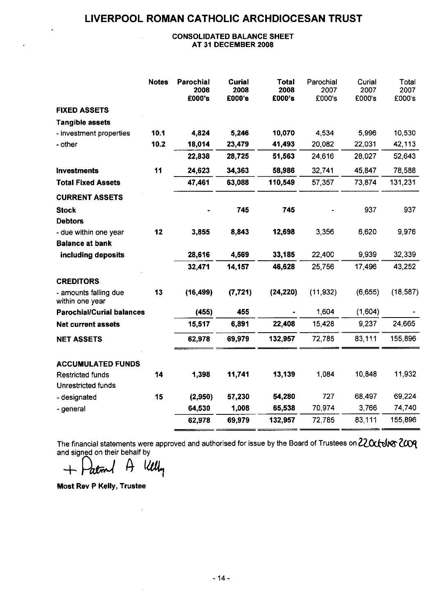### CONSOLIDATED BALANCE SHEET AT 31 DECEMBER 2008

|                                                 | <b>Notes</b> | Parochial<br>2008<br>£000's | Curial<br>2008<br>£000's | <b>Total</b><br>2008<br>£000's | Parochial<br>2007<br>£000's | Curial<br>2007<br>£000's | Total<br>2007<br>£000's |
|-------------------------------------------------|--------------|-----------------------------|--------------------------|--------------------------------|-----------------------------|--------------------------|-------------------------|
| <b>FIXED ASSETS</b>                             |              |                             |                          |                                |                             |                          |                         |
| <b>Tangible assets</b>                          |              |                             |                          |                                |                             |                          |                         |
| - investment properties                         | 10.1         | 4,824                       | 5,246                    | 10,070                         | 4 5 3 4                     | 5,996                    | 10,530                  |
| - other                                         | 10.2         | 18,014                      | 23,479                   | 41,493                         | 20,082                      | 22,031                   | 42,113                  |
|                                                 |              | 22,838                      | 28,725                   | 51,563                         | 24.616                      | 28,027                   | 52,643                  |
| <b>Investments</b>                              | 11           | 24,623                      | 34,363                   | 58,986                         | 32.741                      | 45,847                   | 78,588                  |
| <b>Total Fixed Assets</b>                       |              | 47,461                      | 63,088                   | 110,549                        | 57,357                      | 73,874                   | 131,231                 |
| <b>CURRENT ASSETS</b>                           |              |                             |                          |                                |                             |                          |                         |
| <b>Stock</b><br><b>Debtors</b>                  |              |                             | 745                      | 745                            |                             | 937                      | 937                     |
| - due within one year<br><b>Balance at bank</b> | 12           | 3,855                       | 8,843                    | 12,698                         | 3.356                       | 6,620                    | 9,976                   |
| including deposits                              |              | 28,616                      | 4,569                    | 33,185                         | 22,400                      | 9,939                    | 32,339                  |
|                                                 |              | 32,471                      | 14,157                   | 46,628                         | 25,756                      | 17,496                   | 43,252                  |
| <b>CREDITORS</b>                                |              |                             |                          |                                |                             |                          |                         |
| - amounts falling due<br>within one year        | 13           | (16, 499)                   | (7, 721)                 | (24, 220)                      | (11, 932)                   | (6,655)                  | (18, 587)               |
| <b>Parochial/Curial balances</b>                |              | (455)                       | 455                      |                                | 1,604                       | (1,604)                  |                         |
| <b>Net current assets</b>                       |              | 15,517                      | 6,891                    | 22,408                         | 15,428                      | 9,237                    | 24,665                  |
| <b>NET ASSETS</b>                               |              | 62,978                      | 69,979                   | 132,957                        | 72,785                      | 83,111                   | 155,896                 |
| <b>ACCUMULATED FUNDS</b>                        |              |                             |                          |                                |                             |                          |                         |
| <b>Restricted funds</b><br>Unrestricted funds   | 14           | 1,398                       | 11,741                   | 13,139                         | 1,084                       | 10,848                   | 11,932                  |
| - designated                                    | 15           | (2,950)                     | 57,230                   | 54,280                         | 727                         | 68,497                   | 69,224                  |
| - general                                       |              | 64,530                      | 1,008                    | 65,538                         | 70.974                      | 3,766                    | 74,740                  |
|                                                 |              | 62,978                      | 69,979                   | 132,957                        | 72 785                      | 83,111                   | 155,896                 |

The financial statements were approved and authorised for issue by the Board of Trustees on  $\mathcal{L}$  Ochlygrid  $\mathcal{C}$ and signed on their behalf by

ation of Kelly  $+$ 

Most Rev P Kelly, Trustee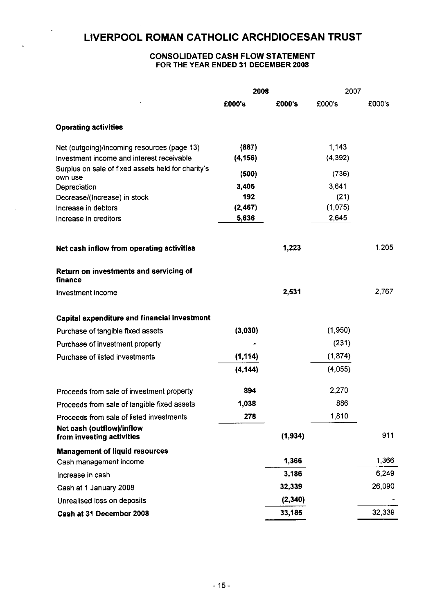$\Delta$ 

### CONSOLIDATED CASH FLOW STATEMENT **FOR THE YEAR ENDED 31 DECEMBER 2008**

|                                                               | 2008     |          | 2007     |        |
|---------------------------------------------------------------|----------|----------|----------|--------|
|                                                               | £000's   | £000's   | £000's   | £000's |
| <b>Operating activities</b>                                   |          |          |          |        |
| Net (outgoing)/incoming resources (page 13)                   | (887)    |          | 1,143    |        |
| Investment income and interest receivable                     | (4, 156) |          | (4, 392) |        |
| Surplus on sale of fixed assets held for charity's<br>own use | (500)    |          | (736)    |        |
| Depreciation                                                  | 3,405    |          | 3,641    |        |
| Decrease/(Increase) in stock                                  | 192      |          | (21)     |        |
| Increase in debtors                                           | (2, 467) |          | (1,075)  |        |
| Increase in creditors                                         | 5,636    |          | 2,645    |        |
| Net cash inflow from operating activities                     |          | 1,223    |          | 1.205  |
| Return on investments and servicing of<br>finance             |          |          |          |        |
| Investment income                                             |          | 2,531    |          | 2,767  |
| Capital expenditure and financial investment                  |          |          |          |        |
| Purchase of tangible fixed assets                             | (3,030)  |          | (1,950)  |        |
| Purchase of investment property                               |          |          | (231)    |        |
| Purchase of listed investments                                | (1, 114) |          | (1,874)  |        |
|                                                               | (4, 144) |          | (4,055)  |        |
| Proceeds from sale of investment property                     | 894      |          | 2.270    |        |
| Proceeds from sale of tangible fixed assets                   | 1,038    |          | 886      |        |
| Proceeds from sale of listed investments                      | 278      |          | 1,810    |        |
| Net cash (outflow)/inflow<br>from investing activities        |          | (1, 934) |          | 911    |
| <b>Management of liquid resources</b>                         |          |          |          |        |
| Cash management income                                        |          | 1,366    |          | 1.366  |
| Increase in cash                                              |          | 3,186    |          | 6,249  |
| Cash at 1 January 2008                                        |          | 32,339   |          | 26,090 |
| Unrealised loss on deposits                                   |          | (2, 340) |          |        |
| Cash at 31 December 2008                                      |          | 33,185   |          | 32,339 |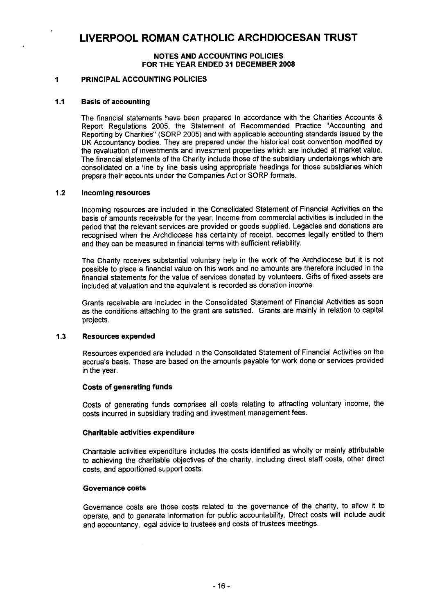### **NOTES AND ACCOUNTING POLICIES FOR THE YEAR ENDED 31 DECEMBER 2008**

### <sup>1</sup> PRINCIPAL ACCOUNTING POLICIES

### **1.1 Basis of accounting**

The financial statements have been prepared in accordance with the Charities Accounts & Report Regulations 2005, the Statement of Recommended Practice "Accounting and Reporting by Charities" (SORP 2005) and with applicable accounting standards issued by the UK Accountancy bodies. They are prepared under the historical cost convention modified by the revaluation of investments and investment properties which are included at market value. The financial statements of the Charity include those of the subsidiary undertakings which are consolidated on a line by line basis using appropriate headings for those subsidiaries which prepare their accounts under the Companies Act or SORP formats.

### **1.2 Incoming resources**

Incoming resources are included in the Consolidated Statement of Financial Activities on the basis of amounts receivable for the year. Income from commercial activities is included in the period that the relevant services are provided or goods supplied. Legacies and donations are recognised when the Archdiocese has certainty of receipt, becomes legally entitled to them and they can be measured in financial terms with sufficient reliability.

The Charity receives substantial voluntary help in the work of the Archdiocese but it is not possible to place a financial value on this work and no amounts are therefore included in the financial statements for the value of services donated by volunteers. Gifts of fixed assets are included at valuation and the equivalent is recorded as donation income.

Grants receivable are included in the Consolidated Statement of Financial Activities as soon as the conditions attaching to the grant are satisfied. Grants are mainly in relation to capital projects.

### **1.3 Resources expended**

Resources expended are included in the Consolidated Statement of Financial Activities on the accruals basis. These are based on the amounts payable for work done or services provided in the year.

### **Costs of generating funds**

Costs of generating funds comprises all costs relating to attracting voluntary income, the costs incurred in subsidiary trading and investment management fees.

### **Charitable activities expenditure**

Charitable activities expenditure includes the costs identified as wholly or mainly attributable to achieving the charitable objectives of the charity, including direct staff costs, other direct costs, and apportioned support costs.

### **Governance costs**

Governance costs are those costs related to the governance of the charity, to allow it to operate, and to generate information for public accountability. Direct costs will include audit and accountancy, legal advice to trustees and costs of trustees meetings.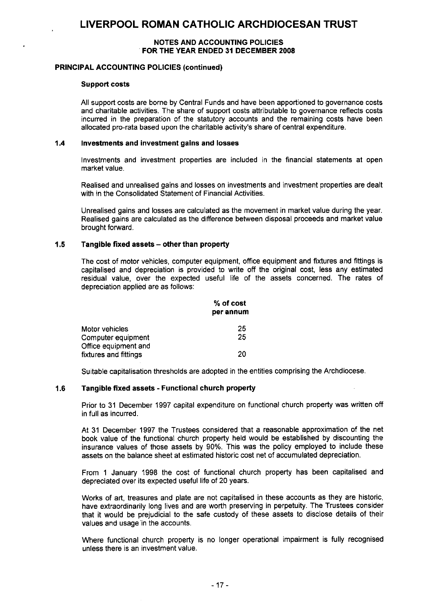### **NOTES AND ACCOUNTING POLICIES FOR THE YEAR ENDED 31 DECEMBER 2008**

### **PRINCIPAL ACCOUNTING POLICIES (continued)**

#### **Support costs**

All support costs are borne by Central Funds and have been apportioned to governance costs and charitable activities. The share of support costs attributable to governance reflects costs incurred in the preparation of the statutory accounts and the remaining costs have been allocated pro-rata based upon the charitable activity's share of central expenditure.

### **1.4 Investments and investment gains and losses**

Investments and investment properties are included in the financial statements at open market value.

Realised and unrealised gains and losses on investments and investment properties are dealt with in the Consolidated Statement of Financial Activities.

Unrealised gains and losses are calculated as the movement in market value during the year. Realised gains are calculated as the difference between disposal proceeds and market value brought forward.

### **1.5 Tangible fixed assets — other than property**

The cost of motor vehicles, computer equipment, office equipment and fixtures and fittings is capitalised and depreciation is provided to write off the original cost, less any estimated residual value, over the expected useful life of the assets concerned. The rates of depreciation applied are as follows:

|                       | % of cost<br>per annum |
|-----------------------|------------------------|
| Motor vehicles        | 25                     |
| Computer equipment    | 25                     |
| Office equipment and  |                        |
| fixtures and fittings | 20                     |

Suitable capitalisation thresholds are adopted in the entities comprising the Archdiocese.

### **1.6 Tangible fixed assets - Functional church property**

Prior to 31 December 1997 capital expenditure on functional church property was written off in full as incurred.

At 31 December 1997 the Trustees considered that a reasonable approximation of the net book value of the functional church property held would be established by discounting the insurance values of those assets by 90%. This was the policy employed to include these assets on the balance sheet at estimated historic cost net of accumulated depreciation.

From 1 January 1998 the cost of functional church property has been capitalised and depreciated over its expected useful life of 20 years.

Works of art, treasures and plate are not capitalised in these accounts as they are historic, have extraordinarily long lives and are worth preserving in perpetuity. The Trustees consider that it would be prejudicial to the safe custody of these assets to disclose details of their values and usage in the accounts.

Where functional church property is no longer operational impairment is fully recognised unless there is an investment value.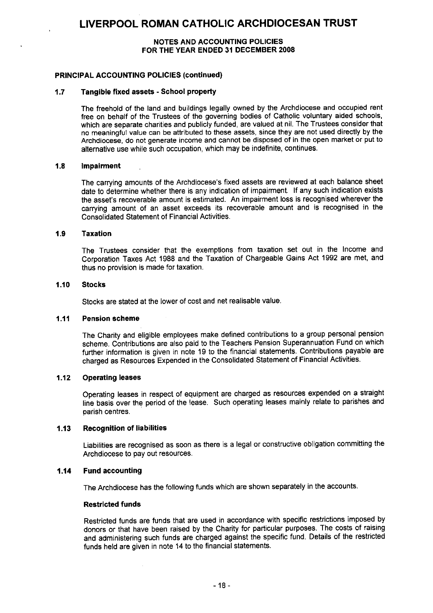### **NOTES AND ACCOUNTING POLICIES FOR THE YEAR ENDED 31 DECEMBER 2008**

### **PRINCIPAL ACCOUNTING POLICIES (continued)**

### **1.7 Tangible fixed assets - School property**

The freehold of the land and buildings legally owned by the Archdiocese and occupied rent free on behalf of the Trustees of the governing bodies of Catholic voluntary aided schools, which are separate charities and publicly funded, are valued at nil. The Trustees consider that no meaningful value can be attributed to these assets, since they are not used directly by the Archdiocese, do not generate income and cannot be disposed of in the open market or put to alternative use while such occupation, which may be indefinite, continues.

### **1.8 Impairment**

The carrying amounts of the Archdiocese's fixed assets are reviewed at each balance sheet date to determine whether there is any indication of impairment If any such indication exists the asset's recoverable amount is estimated. An impairment loss is recognised wherever the carrying amount of an asset exceeds its recoverable amount and is recognised in the Consolidated Statement of Financial Activities.

#### **1.9 Taxation**

The Trustees consider that the exemptions from taxation set out in the Income and Corporation Taxes Act 1988 and the Taxation of Chargeable Gains Act 1992 are met, and thus no provision is made for taxation.

#### **1.10 Stocks**

Stocks are stated at the lower of cost and net realisable value.

### **1.11 Pension scheme**

The Charity and eligible employees make defined contributions to a group personal pension scheme. Contributions are also paid to the Teachers Pension Superannuation Fund on which further information is given in note 19 to the financial statements. Contributions payable are charged as Resources Expended in the Consolidated Statement of Financial Activities.

### 1.12 **Operating leases**

Operating leases in respect of equipment are charged as resources expended on a straight line basis over the period of the lease. Such operating leases mainly relate to parishes and parish centres.

### **1.13 Recognition of liabilities**

Liabilities are recognised as soon as there is a legal or constructive obligation committing the Archdiocese to pay out resources.

### **1.14 Fund accounting**

The Archdiocese has the following funds which are shown separately in the accounts.

### **Restricted funds**

Restricted funds are funds that are used in accordance with specific restrictions imposed by donors or that have been raised by the Charity for particular purposes. The costs of raising and administering such funds are charged against the specific fund. Details of the restricted funds held are given in note 14 to the financial statements.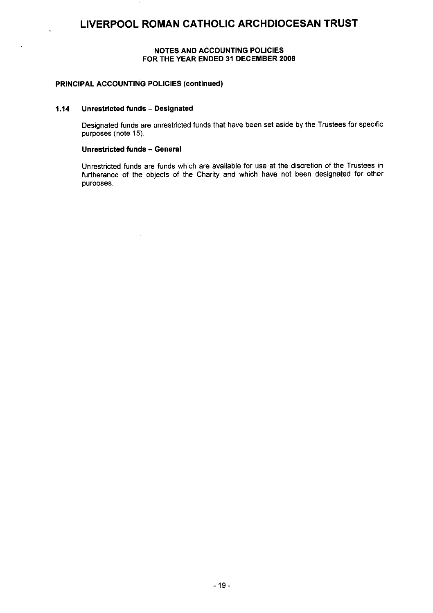### **NOTES AND ACCOUNTING POLICIES FOR THE YEAR ENDED 31 DECEMBER 2008**

### **PRINCIPAL ACCOUNTING POLICIES (continued)**

#### **1.14 Unrestricted funds — Designated**

Designated funds are unrestricted funds that have been set aside by the Trustees for specific purposes (note 15).

#### **Unrestricted funds — General**

Unrestricted funds are funds which are available for use at the discretion of the Trustees in furtherance of the objects of the Charity and which have not been designated for other purposes.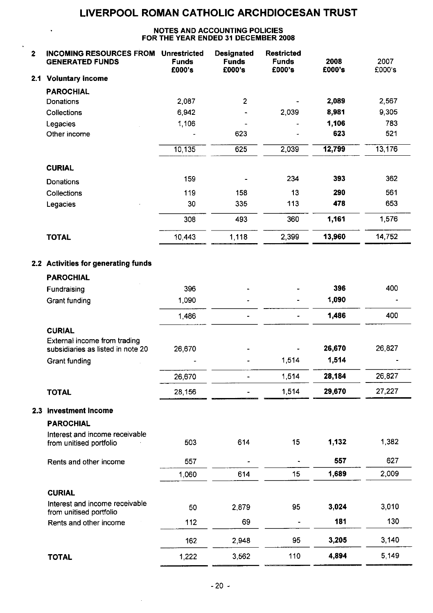### **NOTES AND ACCOUNTING POLICIES FOR THE YEAR ENDED 31 DECEMBER 2008**

 $\ddot{\phantom{a}}$ 

 $\ddot{\phantom{1}}$ 

| $\overline{\mathbf{z}}$ | <b>INCOMING RESOURCES FROM</b><br><b>GENERATED FUNDS</b>          | <b>Unrestricted</b><br><b>Funds</b><br>£000's | <b>Designated</b><br><b>Funds</b><br>£000's | <b>Restricted</b><br><b>Funds</b><br>£000's | 2008<br>£000's | 2007<br>£000's |
|-------------------------|-------------------------------------------------------------------|-----------------------------------------------|---------------------------------------------|---------------------------------------------|----------------|----------------|
| 2.1                     | <b>Voluntary income</b>                                           |                                               |                                             |                                             |                |                |
|                         | <b>PAROCHIAL</b>                                                  |                                               |                                             |                                             |                |                |
|                         | Donations                                                         | 2,087                                         | 2                                           |                                             | 2,089          | 2,567          |
|                         | Collections                                                       | 6,942                                         |                                             | 2,039                                       | 8,981          | 9,305          |
|                         | Legacies                                                          | 1,106                                         |                                             |                                             | 1,106          | 783            |
|                         | Other income                                                      |                                               | 623                                         |                                             | 623            | 521            |
|                         |                                                                   | 10, 135                                       | 625                                         | 2,039                                       | 12,799         | 13,176         |
|                         | <b>CURIAL</b>                                                     |                                               |                                             |                                             |                |                |
|                         | Donations                                                         | 159                                           |                                             | 234                                         | 393            | 362            |
|                         | Collections                                                       | 119                                           | 158                                         | 13                                          | 290            | 561            |
|                         | Legacies                                                          | 30                                            | 335                                         | 113                                         | 478            | 653            |
|                         |                                                                   | 308                                           | 493                                         | 360                                         | 1,161          | 1,576          |
|                         | <b>TOTAL</b>                                                      | 10,443                                        | 1,118                                       | 2,399                                       | 13,960         | 14,752         |
|                         | 2.2 Activities for generating funds                               |                                               |                                             |                                             |                |                |
|                         | <b>PAROCHIAL</b>                                                  |                                               |                                             |                                             |                |                |
|                         | Fundraising                                                       | 396                                           |                                             |                                             | 396            | 400            |
|                         | Grant funding                                                     | 1,090                                         |                                             |                                             | 1,090          |                |
|                         |                                                                   | 1,486                                         |                                             |                                             | 1,486          | 400            |
|                         | <b>CURIAL</b>                                                     |                                               |                                             |                                             |                |                |
|                         | External income from trading<br>subsidiaries as listed in note 20 | 26,670                                        |                                             |                                             | 26,670         | 26,827         |
|                         | Grant funding                                                     |                                               |                                             | 1,514                                       | 1,514          |                |
|                         |                                                                   | 26,670                                        | -                                           | 1,514                                       | 28,184         | 26,827         |
|                         | <b>TOTAL</b>                                                      | 28,156                                        |                                             | 1,514                                       | 29,670         | 27,227         |
| 2.3                     | <b>Investment Income</b>                                          |                                               |                                             |                                             |                |                |
|                         | <b>PAROCHIAL</b>                                                  |                                               |                                             |                                             |                |                |
|                         | Interest and income receivable<br>from unitised portfolio         | 503                                           | 614                                         | 15                                          | 1,132          | 1,382          |
|                         | Rents and other income                                            | 557                                           |                                             | $\overline{\phantom{a}}$                    | 557            | 627            |
|                         |                                                                   | 1.060                                         | 614                                         | 15                                          | 1,689          | 2,009          |
|                         | <b>CURIAL</b>                                                     |                                               |                                             |                                             |                |                |
|                         | Interest and income receivable<br>from unitised portfolio         | 50                                            | 2,879                                       | 95                                          | 3,024          | 3,010          |
|                         | Rents and other income                                            | 112                                           | 69                                          |                                             | 181            | 130            |
|                         |                                                                   | 162                                           | 2,948                                       | 95                                          | 3,205          | 3,140          |
|                         | <b>TOTAL</b>                                                      | 1,222                                         | 3,562                                       | 110                                         | 4,894          | 5.149          |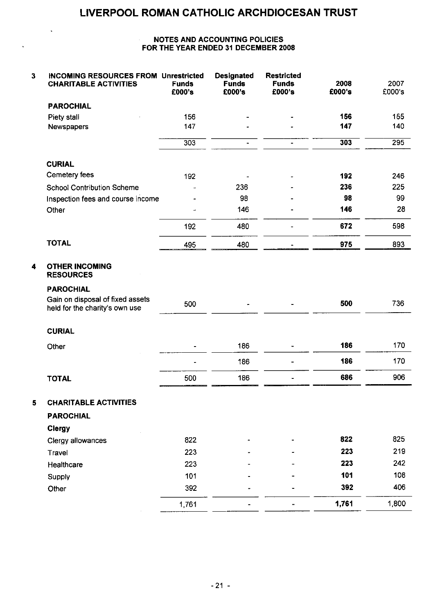### **NOTES AND ACCOUNTING POLICIES FOR THE YEAR ENDED 31 DECEMBER 2008**

 $\ddot{\phantom{0}}$ 

 $\ddot{\phantom{a}}$ 

| 3                       | <b>INCOMING RESOURCES FROM Unrestricted</b><br><b>CHARITABLE ACTIVITIES</b> | <b>Funds</b><br>£000's | <b>Designated</b><br><b>Funds</b><br>£000's | <b>Restricted</b><br><b>Funds</b><br>£000's | 2008<br>£000's | 2007<br>£000's |
|-------------------------|-----------------------------------------------------------------------------|------------------------|---------------------------------------------|---------------------------------------------|----------------|----------------|
|                         | <b>PAROCHIAL</b>                                                            |                        |                                             |                                             |                |                |
|                         | Piety stall                                                                 | 156                    |                                             |                                             | 156            | 155            |
|                         | Newspapers                                                                  | 147                    |                                             |                                             | 147            | 140            |
|                         |                                                                             | 303                    | $\blacksquare$                              | $\blacksquare$                              | 303            | 295            |
|                         | <b>CURIAL</b>                                                               |                        |                                             |                                             |                |                |
|                         | Cemetery fees                                                               | 192                    |                                             |                                             | 192            | 246            |
|                         | <b>School Contribution Scheme</b>                                           |                        | 236                                         |                                             | 236            | 225            |
|                         | Inspection fees and course income                                           |                        | 98                                          |                                             | 98             | 99             |
|                         | Other                                                                       |                        | 146                                         |                                             | 146            | 28             |
|                         |                                                                             | 192                    | 480                                         | ä,                                          | 672            | 598            |
|                         | <b>TOTAL</b>                                                                | 495                    | 480                                         |                                             | 975            | 893            |
| $\overline{\mathbf{4}}$ | <b>OTHER INCOMING</b><br><b>RESOURCES</b>                                   |                        |                                             |                                             |                |                |
|                         | <b>PAROCHIAL</b>                                                            |                        |                                             |                                             |                |                |
|                         | Gain on disposal of fixed assets<br>held for the charity's own use          | 500                    |                                             |                                             | 500            | 736            |
|                         | <b>CURIAL</b>                                                               |                        |                                             |                                             |                |                |
|                         | Other                                                                       |                        | 186                                         |                                             | 186            | 170            |
|                         |                                                                             |                        | 186                                         | ÷                                           | 186            | 170            |
|                         | <b>TOTAL</b>                                                                | 500                    | 186                                         |                                             | 686            | 906            |
| 5                       | <b>CHARITABLE ACTIVITIES</b>                                                |                        |                                             |                                             |                |                |
|                         | <b>PAROCHIAL</b>                                                            |                        |                                             |                                             |                |                |
|                         | <b>Clergy</b>                                                               |                        |                                             |                                             |                |                |
|                         | Clergy allowances                                                           | 822                    |                                             |                                             | 822            | 825            |
|                         | Travel                                                                      | 223                    |                                             |                                             | 223            | 219            |
|                         | Healthcare                                                                  | 223                    |                                             |                                             | 223            | 242            |
|                         | Supply                                                                      | 101                    |                                             |                                             | 101            | 108            |
|                         | Other                                                                       | 392                    |                                             |                                             | 392            | 406            |
|                         |                                                                             | 1,761                  |                                             |                                             | 1,761          | 1,800          |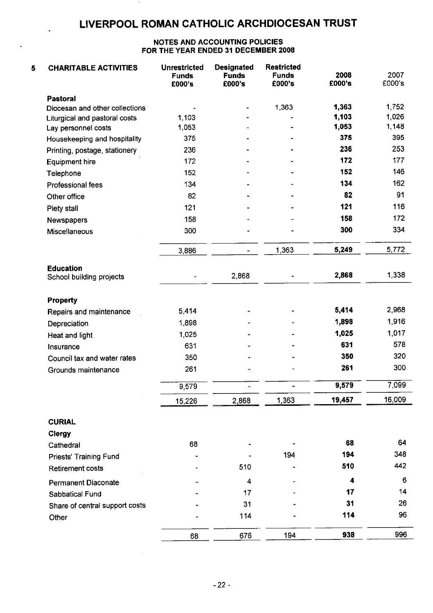### **NOTES AND ACCOUNTING POLICIES FOR THE YEAR ENDED 31 DECEMBER 2008**

| 5 | <b>CHARITABLE ACTIVITIES</b>                 | <b>Unrestricted</b><br><b>Funds</b><br>£000's | <b>Designated</b><br><b>Funds</b><br>£000's | <b>Restricted</b><br><b>Funds</b><br>£000's | 2008<br>£000's | 2007<br>£000's |
|---|----------------------------------------------|-----------------------------------------------|---------------------------------------------|---------------------------------------------|----------------|----------------|
|   | <b>Pastoral</b>                              |                                               |                                             |                                             |                |                |
|   | Diocesan and other collections               |                                               |                                             | 1,363                                       | 1,363          | 1,752          |
|   | Liturgical and pastoral costs                | 1,103                                         |                                             |                                             | 1,103          | 1,026          |
|   | Lay personnel costs                          | 1,053                                         |                                             |                                             | 1,053          | 1,148          |
|   | Housekeeping and hospitality                 | 375                                           |                                             |                                             | 375            | 395            |
|   | Printing, postage, stationery                | 236                                           |                                             |                                             | 236            | 253            |
|   | <b>Equipment hire</b>                        | 172                                           |                                             |                                             | 172            | 177            |
|   | Telephone                                    | 152                                           |                                             |                                             | 152            | 146            |
|   | Professional fees                            | 134                                           |                                             |                                             | 134            | 162            |
|   | Other office                                 | 82                                            |                                             |                                             | 82             | 91             |
|   | Piety stall                                  | 121                                           |                                             |                                             | 121            | 116            |
|   | Newspapers                                   | 158                                           |                                             |                                             | 158            | 172            |
|   | <b>Miscellaneous</b>                         | 300                                           |                                             |                                             | 300            | 334            |
|   |                                              | 3,886                                         |                                             | 1,363                                       | 5,249          | 5,772          |
|   | <b>Education</b><br>School building projects |                                               | 2868                                        |                                             | 2,868          | 1,338          |
|   | <b>Property</b>                              |                                               |                                             |                                             |                |                |
|   | Repairs and maintenance                      | 5,414                                         |                                             |                                             | 5,414          | 2,968          |
|   | Depreciation                                 | 1,898                                         |                                             |                                             | 1,898          | 1,916          |
|   | Heat and light                               | 1,025                                         |                                             |                                             | 1,025          | 1,017          |
|   | Insurance                                    | 631                                           |                                             |                                             | 631            | 578            |
|   | Council tax and water rates                  | 350                                           |                                             |                                             | 350            | 320            |
|   | Grounds maintenance                          | 261                                           |                                             |                                             | 261            | 300            |
|   |                                              | 9.579                                         |                                             | $\blacksquare$                              | 9,579          | 7,099          |
|   |                                              | 15,226                                        | 2,868                                       | 1,363                                       | 19,457         | 16,009         |
|   | <b>CURIAL</b><br>Clergy                      |                                               |                                             |                                             |                |                |
|   | Cathedral                                    | 68                                            |                                             |                                             | 68             | 64             |
|   | Priests' Training Fund                       |                                               |                                             | 194                                         | 194            | 348            |
|   | <b>Retirement costs</b>                      |                                               | 510                                         |                                             | 510            | 442            |
|   | <b>Permanent Diaconate</b>                   |                                               | 4                                           |                                             | 4              | 6              |
|   | Sabbatical Fund                              |                                               | 17                                          |                                             | 17             | 14             |
|   | Share of central support costs               |                                               | 31                                          |                                             | 31             | 26             |
|   | Other                                        |                                               | 114                                         |                                             | 114            | 96             |
|   |                                              | 68                                            | 676                                         | 194                                         | 938            | 996            |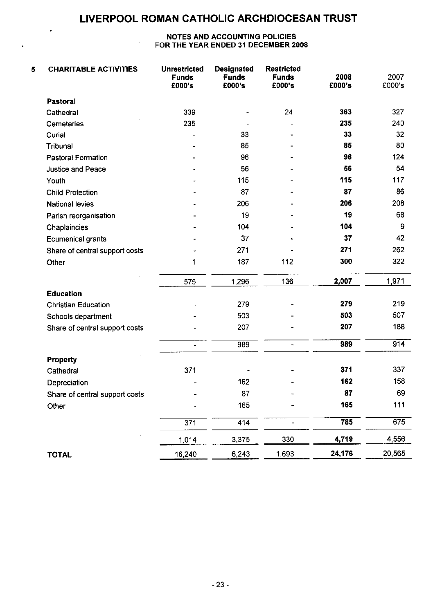$\ddot{\phantom{0}}$ 

### **NOTES AND ACCOUNTING POLICIES FOR THE YEAR ENDED 31 DECEMBER 2008**

| 5 | <b>CHARITABLE ACTIVITIES</b>   | <b>Unrestricted</b><br><b>Funds</b><br>£000's | <b>Designated</b><br><b>Funds</b><br>£000's | <b>Restricted</b><br><b>Funds</b><br>£000's | 2008<br>£000's | 2007<br>£000's |
|---|--------------------------------|-----------------------------------------------|---------------------------------------------|---------------------------------------------|----------------|----------------|
|   | <b>Pastoral</b>                |                                               |                                             |                                             |                |                |
|   | Cathedral                      | 339                                           | -                                           | 24                                          | 363            | 327            |
|   | <b>Cemeteries</b>              | 235                                           |                                             |                                             | 235            | 240            |
|   | Curial                         |                                               | 33                                          |                                             | 33             | 32             |
|   | Tribunal                       |                                               | 85                                          |                                             | 85             | 80             |
|   | <b>Pastoral Formation</b>      |                                               | 96                                          |                                             | 96             | 124            |
|   | <b>Justice and Peace</b>       |                                               | 56                                          |                                             | 56             | 54             |
|   | Youth                          |                                               | 115                                         |                                             | 115            | 117            |
|   | <b>Child Protection</b>        |                                               | 87                                          |                                             | 87             | 86             |
|   | <b>National levies</b>         |                                               | 206                                         |                                             | 206            | 208            |
|   | Parish reorganisation          |                                               | 19                                          |                                             | 19             | 68             |
|   | Chaplaincies                   |                                               | 104                                         |                                             | 104            | 9              |
|   | Ecumenical grants              |                                               | 37                                          |                                             | 37             | 42             |
|   | Share of central support costs |                                               | 271                                         |                                             | 271            | 262            |
|   | Other                          | 1                                             | 187                                         | 112                                         | 300            | 322            |
|   |                                | 575                                           | 1,296                                       | 136                                         | 2,007          | 1,971          |
|   | <b>Education</b>               |                                               |                                             |                                             |                |                |
|   | <b>Christian Education</b>     |                                               | 279                                         |                                             | 279            | 219            |
|   | Schools department             |                                               | 503                                         |                                             | 503            | 507            |
|   | Share of central support costs |                                               | 207                                         |                                             | 207            | 188            |
|   |                                | $\overline{\phantom{a}}$                      | 989                                         | $\blacksquare$                              | 989            | 914            |
|   | Property                       |                                               |                                             |                                             |                |                |
|   | Cathedral                      | 371                                           |                                             |                                             | 371            | 337            |
|   | Depreciation                   |                                               | 162                                         |                                             | 162            | 158            |
|   | Share of central support costs |                                               | 87                                          |                                             | 87             | 69             |
|   | Other                          |                                               | 165                                         |                                             | 165            | 111            |
|   |                                | $\overline{371}$                              | 414                                         | ä,                                          | 785            | 675            |
|   |                                | 1,014                                         | 3,375                                       | 330                                         | 4,719          | 4,556          |
|   | <b>TOTAL</b>                   | 16,240                                        | 6,243                                       | 1,693                                       | 24,176         | 20,565         |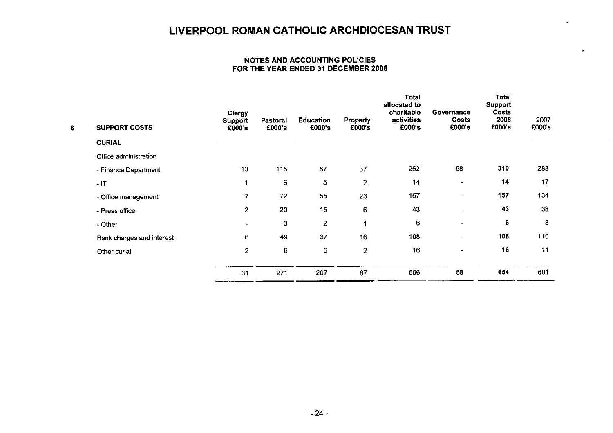J.

### **NOTES AND ACCOUNTING POLICIES FOR THE YEAR ENDED 31 DECEMBER 2008**

| 6 | <b>SUPPORT COSTS</b>      | <b>Clergy</b><br>Support<br>£000's | Pastoral<br>£000's | <b>Education</b><br>£000's | <b>Property</b><br>£000's | Total<br>allocated to<br>charitable<br>activities<br>£000's | Governance<br>Costs<br>£000's | Total<br><b>Support</b><br>Costs<br>2008<br>£000's | 2007<br>£000's |
|---|---------------------------|------------------------------------|--------------------|----------------------------|---------------------------|-------------------------------------------------------------|-------------------------------|----------------------------------------------------|----------------|
|   | <b>CURIAL</b>             |                                    |                    |                            |                           |                                                             |                               |                                                    |                |
|   | Office administration     |                                    |                    |                            |                           |                                                             |                               |                                                    |                |
|   | - Finance Department      | 13                                 | 115                | 87                         | 37                        | 252                                                         | 58                            | 310                                                | 283            |
|   | $-1T$                     | 1                                  | 6                  | 5                          | $\overline{2}$            | 14                                                          | $\blacksquare$                | 14                                                 | 17             |
|   | - Office management       | 7                                  | 72                 | 55                         | 23                        | 157                                                         | $\blacksquare$                | 157                                                | 134            |
|   | - Press office            | $\overline{2}$                     | 20                 | 15                         | 6                         | 43                                                          | $\sim$                        | 43                                                 | 38             |
|   | - Other                   | ۰                                  | $\mathbf{3}$       | $\overline{2}$             |                           | 6                                                           | $\bullet$                     | 6                                                  | 8              |
|   | Bank charges and interest | 6                                  | 49                 | 37                         | 16                        | 108                                                         | $\overline{\phantom{a}}$      | 108                                                | 110            |
|   | Other curial              | $\overline{2}$                     | 6                  | 6                          | $\overline{2}$            | 16                                                          | $\overline{\phantom{a}}$      | 16                                                 | 11             |
|   |                           | 31                                 | 271                | 207                        | 87                        | 596                                                         | 58                            | 654                                                | 601            |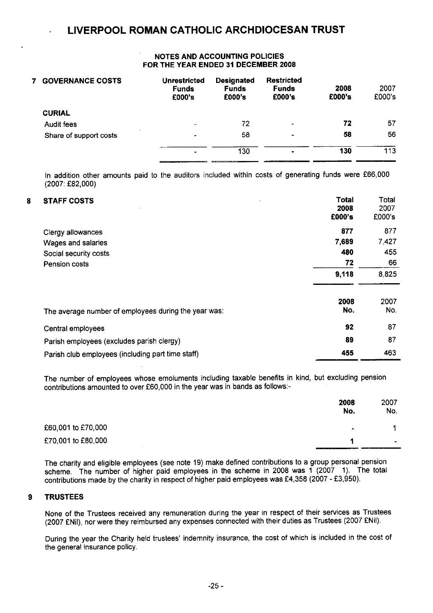### NOTES AND ACCOUNTING POLICIES FOR THE YEAR ENDED 31 DECEMBER 2008

| <b>GOVERNANCE COSTS</b> | <b>Unrestricted</b><br><b>Funds</b><br>£000's | <b>Designated</b><br><b>Funds</b><br>£000's | <b>Restricted</b><br><b>Funds</b><br>£000's | 2008<br>£000's | 2007<br>£000's |
|-------------------------|-----------------------------------------------|---------------------------------------------|---------------------------------------------|----------------|----------------|
| <b>CURIAL</b>           |                                               |                                             |                                             |                |                |
| Audit fees              | $\overline{\phantom{a}}$                      | 72                                          | $\blacksquare$                              | 72             | 57             |
| Share of support costs  | $\blacksquare$                                | 58                                          | $\overline{\phantom{a}}$                    | 58             | 56             |
|                         | ۰                                             | 130                                         | $\blacksquare$                              | 130            | 113            |

In addition other amounts paid to the auditors included within costs of generating funds were £66,000 (2007: £82,000)

| 8 | <b>STAFF COSTS</b>                                   | Total<br>2008<br>£000's | Total<br>2007<br>£000's |
|---|------------------------------------------------------|-------------------------|-------------------------|
|   | Clergy allowances                                    | 877                     | 877                     |
|   | Wages and salaries                                   | 7,689                   | 7,427                   |
|   | Social security costs                                | 480                     | 455                     |
|   | Pension costs                                        | 72                      | 66                      |
|   |                                                      | 9,118                   | 8,825                   |
|   | The average number of employees during the year was: | 2008<br>No.             | 2007<br>No.             |
|   | Central employees                                    | 92                      | 87                      |
|   | Parish employees (excludes parish clergy)            | 89                      | 87                      |
|   | Parish club employees (including part time staff)    | 455                     | 463                     |

The number of employees whose emoluments including taxable benefits in kind, but excluding pension contributions amounted to over £60,000 in the year was in bands as follows:-

|                    | 2008<br>No. | 2007<br>No.                   |
|--------------------|-------------|-------------------------------|
| £60,001 to £70,000 | $\bullet$   |                               |
| £70,001 to £80,000 |             | $\overline{\phantom{0}}$<br>. |

The charity and eligible employees (see note 19) make defined contributions to a group personal pension scheme. The number of higher paid employees in the scheme in 2008 was 1 (2007 1). The total contributions made by the charity in respect of higher paid employees was £4,358 (2007 - £3,950).

### 9 TRUSTEES

None of the Trustees received any remuneration during the year in respect of their services as Trustees (2007 £Nil), nor were they reimbursed any expenses connected with their duties as Trustees (2007 £Nil).

During the year the Charity held trustees' indemnity insurance, the cost of which is included in the cost of the general insurance policy.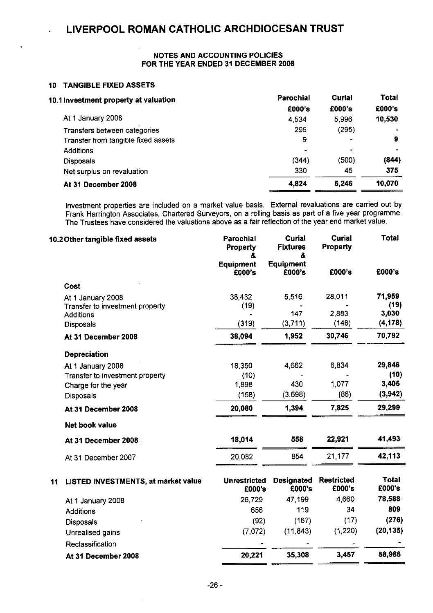### **NOTES AND ACCOUNTING POLICIES FOR THE YEAR ENDED 31 DECEMBER 2008**

### **10 TANGIBLE FIXED ASSETS**

 $\ddot{\phantom{a}}$ 

| Parochial                | Curial | Total          |
|--------------------------|--------|----------------|
| £000's                   | £000's | £000's         |
| 4.534                    | 5.996  | 10,530         |
| 295                      | (295)  |                |
| 9                        |        | 9              |
| $\overline{\phantom{0}}$ |        | $\blacksquare$ |
| (344)                    | (500)  | (844)          |
| 330                      | 45     | 375            |
| 4,824                    | 5,246  | 10,070         |
|                          |        |                |

Investment properties are included on a market value basis. External revaluations are carried out by Frank Harrington Associates, Chartered Surveyors, on a rolling basis as part of a five year programme. The Trustees have considered the valuations above as a fair reflection of the year end market value.

| 10.2 Other tangible fixed assets |                                                                          | Parochial<br><b>Property</b><br>& | <b>Curial</b><br><b>Fixtures</b><br>& | Curial<br><b>Property</b>   | Total                   |
|----------------------------------|--------------------------------------------------------------------------|-----------------------------------|---------------------------------------|-----------------------------|-------------------------|
|                                  |                                                                          | <b>Equipment</b><br>£000's        | <b>Equipment</b><br>£000's            | £000's                      | £000's                  |
|                                  | Cost                                                                     |                                   |                                       |                             |                         |
|                                  | At 1 January 2008<br>Transfer to investment property<br><b>Additions</b> | 38,432<br>(19)                    | 5,516<br>147                          | 28,011<br>2.883             | 71,959<br>(19)<br>3,030 |
|                                  | <b>Disposals</b>                                                         | (319)                             | (3,711)                               | (148)                       | (4, 178)                |
|                                  | At 31 December 2008                                                      | 38,094                            | 1,952                                 | 30,746                      | 70,792                  |
|                                  | <b>Depreciation</b>                                                      |                                   |                                       |                             |                         |
|                                  | At 1 January 2008                                                        | 18,350                            | 4,662                                 | 6.834                       | 29,846                  |
|                                  | Transfer to investment property                                          | (10)                              |                                       |                             | (10)                    |
|                                  | Charge for the year                                                      | 1,898                             | 430                                   | 1,077                       | 3,405                   |
|                                  | <b>Disposals</b>                                                         | (158)                             | (3,698)                               | (86)                        | (3,942)                 |
|                                  | At 31 December 2008                                                      | 20,080                            | 1,394                                 | 7,825                       | 29,299                  |
|                                  | <b>Net book value</b>                                                    |                                   |                                       |                             |                         |
|                                  | At 31 December 2008                                                      | 18,014                            | 558                                   | 22,921                      | 41,493                  |
|                                  | At 31 December 2007                                                      | 20,082                            | 854                                   | 21,177                      | 42,113                  |
| 11                               | LISTED INVESTMENTS, at market value                                      | <b>Unrestricted</b><br>£000's     | <b>Designated</b><br>£000's           | <b>Restricted</b><br>£000's | <b>Total</b><br>£000's  |
|                                  | At 1 January 2008                                                        | 26.729                            | 47.199                                | 4.660                       | 78,588                  |
|                                  | <b>Additions</b>                                                         | 656                               | 119                                   | 34                          | 809                     |
|                                  | <b>Disposals</b>                                                         | (92)                              | (167)                                 | (17)                        | (276)                   |
|                                  | Unrealised gains                                                         | (7.072)                           | (11.843)                              | (1, 220)                    | (20, 135)               |
|                                  | Reclassification                                                         |                                   |                                       |                             |                         |
|                                  | At 31 December 2008                                                      | 20,221                            | 35,308                                | 3,457                       | 58,986                  |
|                                  |                                                                          |                                   |                                       |                             |                         |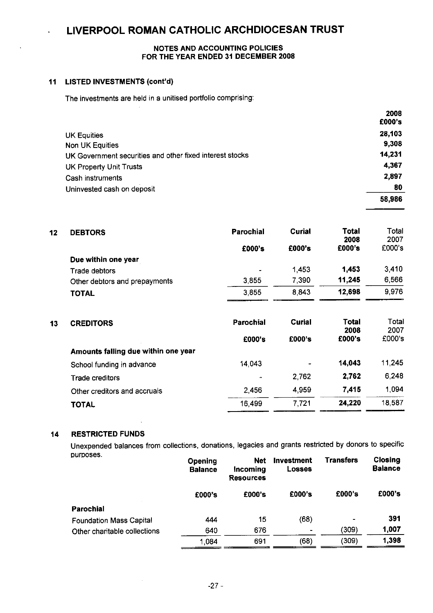### **NOTES AND ACCOUNTING POLICIES FOR THE YEAR ENDED 31 DECEMBER 2008**

### **11 LISTED INVESTMENTS (cont'd)**

The investments are held in a unitised portfolio comprising:

|                                                          | 2008<br>£000's |
|----------------------------------------------------------|----------------|
| <b>UK Equities</b>                                       | 28,103         |
| Non UK Equities                                          | 9,308          |
| UK Government securities and other fixed interest stocks | 14,231         |
| <b>UK Property Unit Trusts</b>                           | 4,367          |
| Cash instruments                                         | 2,897          |
| Uninvested cash on deposit                               | 80             |
|                                                          | 58,986         |

| 12 | <b>DEBTORS</b>                | Parochial | Curial | Total<br>2008 | Total<br>2007 |
|----|-------------------------------|-----------|--------|---------------|---------------|
|    |                               | £000's    | £000's | £000's        | £000's        |
|    | Due within one year           |           |        |               |               |
|    | Trade debtors                 | ٠         | 1.453  | 1.453         | 3,410         |
|    | Other debtors and prepayments | 3.855     | 7,390  | 11,245        | 6,566         |
|    | <b>TOTAL</b>                  | 3.855     | 8,843  | 12.698        | 9,976         |

| 13 | <b>CREDITORS</b>                    | Parochial | Curial                       | Total<br>2008 | Total<br>2007 |
|----|-------------------------------------|-----------|------------------------------|---------------|---------------|
|    |                                     | £000's    | £000's                       | £000's        | £000's        |
|    | Amounts falling due within one year |           |                              |               |               |
|    | School funding in advance           | 14.043    | $\qquad \qquad \blacksquare$ | 14,043        | 11,245        |
|    | Trade creditors                     | ٠         | 2,762                        | 2.762         | 6,248         |
|    | Other creditors and accruals        | 2.456     | 4,959                        | 7.415         | 1,094         |
|    | <b>TOTAL</b>                        | 16 499    | 7,721                        | 24,220        | 18,587        |
|    |                                     |           |                              |               |               |

### **14 RESTRICTED** FUNDS

Unexpended balances from collections, donations, legacies and grants restricted by donors to specific

| purposes.                      | Opening<br><b>Balance</b> | <b>Net</b><br>Incoming<br><b>Resources</b> | <b>Investment</b><br><b>Losses</b> | <b>Transfers</b> | Closing<br><b>Balance</b> |
|--------------------------------|---------------------------|--------------------------------------------|------------------------------------|------------------|---------------------------|
|                                | £000's                    | £000's                                     | £000's                             | £000's           | £000's                    |
| <b>Parochial</b>               |                           |                                            |                                    |                  |                           |
| <b>Foundation Mass Capital</b> | 444                       | 15                                         | (68)                               | -                | 391                       |
| Other charitable collections   | 640                       | 676                                        | ۰                                  | (309)            | 1,007                     |
|                                | 1.084                     | 691                                        | (68)                               | (309)            | 1.398                     |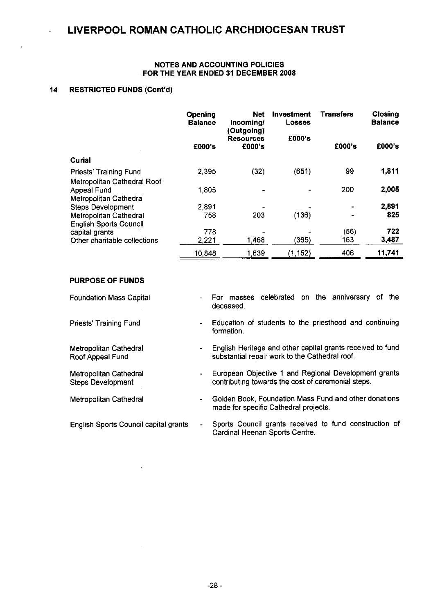### **NOTES AND ACCOUNTING POLICIES FOR THE YEAR ENDED 31 DECEMBER 2008**

### **14 RESTRICTED FUNDS (Cont'd)**

|                               | Opening<br><b>Balance</b> | <b>Net</b><br>Incoming/                  | Investment<br><b>Losses</b> | Transfers | <b>Closing</b><br><b>Balance</b> |
|-------------------------------|---------------------------|------------------------------------------|-----------------------------|-----------|----------------------------------|
|                               | £000's                    | (Outgoing)<br><b>Resources</b><br>£000's | £000's                      | £000's    | £000's                           |
| Curial                        |                           |                                          |                             |           |                                  |
| Priests' Training Fund        | 2,395                     | (32)                                     | (651)                       | 99        | 1,811                            |
| Metropolitan Cathedral Roof   |                           |                                          |                             |           |                                  |
| Appeal Fund                   | 1.805                     | -                                        |                             | 200       | 2,005                            |
| Metropolitan Cathedral        |                           |                                          |                             |           |                                  |
| <b>Steps Development</b>      | 2,891                     |                                          |                             |           | 2,891                            |
| <b>Metropolitan Cathedral</b> | 758                       | 203                                      | (136)                       |           | 825                              |
| <b>English Sports Council</b> |                           |                                          |                             |           |                                  |
| capital grants                | 778                       |                                          |                             | (56)      | 722                              |
| Other charitable collections  | 2.221                     | 1,468                                    | (365)                       | 163       | 3,487                            |
|                               | 10.848                    | 1,639                                    | (1, 152)                    | 406       | 11,741                           |

### **PURPOSE OF FUNDS**

Priests' Training Fund

Metropolitan Cathedral Roof Appeal Fund

Metropolitan Cathedral Steps Development

Metropolitan Cathedral

Foundation Mass Capital For masses celebrated on the anniversary of the  $\overline{a}$ deceased.

> Education of students to the priesthood and continuing formation.

English Heritage and other capital grants received to fund  $\hat{\phantom{a}}$ substantial repair work to the Cathedral roof.

European Objective 1 and Regional Development grants  $\blacksquare$ contributing towards the cost of ceremonial steps.

Golden Book, Foundation Mass Fund and other donations  $\ddot{\phantom{a}}$ made for specific Cathedral projects.

Sports Council grants received to fund construction of English Sports Council capital grants  $\ddot{\phantom{a}}$ Cardinal Heenan Sports Centre.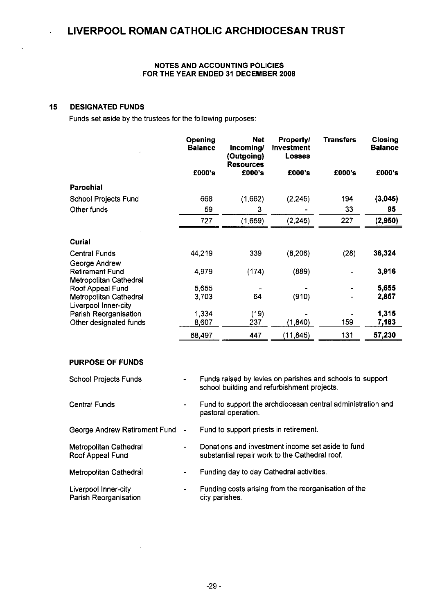### **NOTES AND ACCOUNTING POLICIES FOR THE YEAR ENDED 31 DECEMBER 2008**

### **15 DESIGNATED FUNDS**

l,

Funds set aside by the trustees for the following purposes:

|                                            | Opening<br><b>Balance</b> | <b>Net</b><br>Incoming/<br>(Outgoing)<br><b>Resources</b> | <b>Property/</b><br>Investment<br><b>Losses</b> | <b>Transfers</b> | Closing<br><b>Balance</b> |
|--------------------------------------------|---------------------------|-----------------------------------------------------------|-------------------------------------------------|------------------|---------------------------|
|                                            | £000's                    | £000's                                                    | £000's                                          | £000's           | £000's                    |
| <b>Parochial</b>                           |                           |                                                           |                                                 |                  |                           |
| School Projects Fund                       | 668                       | (1,662)                                                   | (2, 245)                                        | 194              | (3,045)                   |
| Other funds                                | 59                        | 3                                                         |                                                 | 33               | 95                        |
|                                            | 727                       | (1,659)                                                   | (2, 245)                                        | 227              | (2,950)                   |
| <b>Curial</b>                              |                           |                                                           |                                                 |                  |                           |
| <b>Central Funds</b>                       | 44,219                    | 339                                                       | (8, 206)                                        | (28)             | 36,324                    |
| George Andrew                              |                           |                                                           |                                                 |                  |                           |
| <b>Retirement Fund</b>                     | 4,979                     | (174)                                                     | (889)                                           |                  | 3,916                     |
| Metropolitan Cathedral<br>Roof Appeal Fund | 5,655                     |                                                           |                                                 |                  | 5,655                     |
| Metropolitan Cathedral                     | 3,703                     | 64                                                        | (910)                                           |                  | 2,857                     |
| Liverpool Inner-city                       |                           |                                                           |                                                 |                  |                           |
| Parish Reorganisation                      | 1,334                     | (19)                                                      |                                                 |                  | 1,315                     |
| Other designated funds                     | 8,607                     | 237                                                       | (1, 840)                                        | 159              | 7,163                     |
|                                            | 68,497                    | 447                                                       | (11, 845)                                       | 131              | 57,230                    |

### **PURPOSE OF FUNDS**

| School Projects Funds                         | ۰              | Funds raised by levies on parishes and schools to support<br>school building and refurbishment projects. |
|-----------------------------------------------|----------------|----------------------------------------------------------------------------------------------------------|
| Central Funds                                 | ۰              | Fund to support the archdiocesan central administration and<br>pastoral operation.                       |
| George Andrew Retirement Fund -               |                | Fund to support priests in retirement.                                                                   |
| Metropolitan Cathedral<br>Roof Appeal Fund    | $\blacksquare$ | Donations and investment income set aside to fund<br>substantial repair work to the Cathedral roof.      |
| Metropolitan Cathedral                        | ٠              | Funding day to day Cathedral activities.                                                                 |
| Liverpool Inner-city<br>Parish Reorganisation | ۰              | Funding costs arising from the reorganisation of the<br>city parishes.                                   |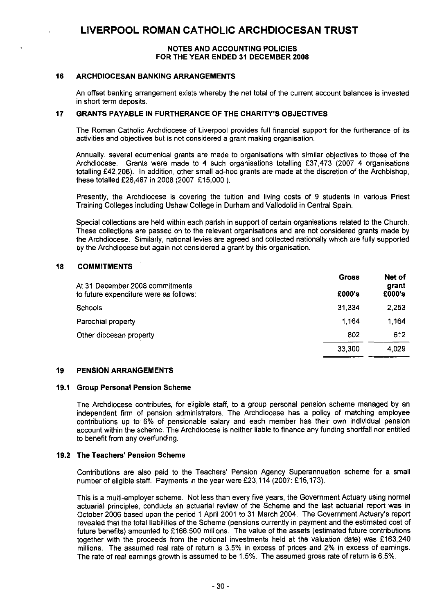### **NOTES AND ACCOUNTING POLICIES FOR THE YEAR ENDED 31 DECEMBER 2008**

### **16 ARCHDIOCESAN BANKING ARRANGEMENTS**

An offset banking arrangement exists whereby the net total of the current account balances is invested in short term deposits

### **17 GRANTS PAYABLE IN FURTHERANCE OF THE CHARITY'S OBJECTIVES**

The Roman Catholic Archdiocese of Liverpool provides full financial support for the furtherance of its activities and objectives but is not considered a grant making organisation.

Annually, several ecumenical grants are made to organisations with similar objectives to those of the Archdiocese. Grants were made to 4 such organisations totalling £37,473 (2007 4 organisations totalling £42,206). In addition, other small ad-hoc grants are made at the discretion of the Archbishop, these totalled £26,467 in 2008 (2007 £15,000).

Presently, the Archdiocese is covering the tuition and living costs of 9 students in various Priest Training Colleges including Ushaw College in Durham and Vallodolid in Central Spain.

Special collections are held within each parish in support of certain organisations related to the Church. These collections are passed on to the relevant organisations and are not considered grants made by the Archdiocese. Similarly, national levies are agreed and collected nationally which are fully supported by the Archdiocese but again not considered a grant by this organisation.

### **18 COMMITMENTS**

| At 31 December 2008 commitments        | <b>Gross</b> | Net of<br>grant |
|----------------------------------------|--------------|-----------------|
| to future expenditure were as follows: | £000's       | £000's          |
| Schools                                | 31,334       | 2,253           |
| Parochial property                     | 1.164        | 1.164           |
| Other diocesan property                | 802          | 612             |
|                                        | 33,300       | 4,029           |

### **19 PENSION ARRANGEMENTS**

### **19.1 Group Personal Pension Scheme**

The Archdiocese contributes, for eligible staff, to a group personal pension scheme managed by an independent firm of pension administrators. The Archdiocese has a policy of matching employee contributions up to 6% of pensionable salary and each member has their own individual pension account within the scheme. The Archdiocese is neither liable to finance any funding shortfall nor entitled to benefit from any overfunding.

### **19.2 The Teachers' Pension Scheme**

Contributions are also paid to the Teachers' Pension Agency Superannuation scheme for a small number of eligible staff. Payments in the year were £23,114 (2007: £15,173).

This is a multi-employer scheme. Not less than every five years, the Government Actuary using normal actuarial principles, conducts an actuarial review of the Scheme and the last actuarial report was in October 2006 based upon the period 1 April 2001 to 31 March 2004, The Government Actuary's report revealed that the total liabilities of the Scheme (pensions currently in payment and the estimated cost of future benefits) amounted to £166,500 millions. The value of the assets (estimated future contributions together with the proceeds from the notional investments held at the valuation date) was £163,240 millions. The assumed real rate of return is 3.5% in excess of prices and 2% in excess of earnings. The rate of real earnings growth is assumed to be 1.5%. The assumed gross rate of return is 6.5%.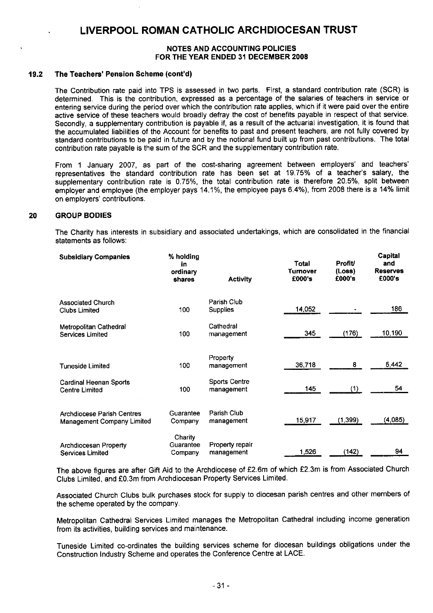### **NOTES AND ACCOUNTING POLICIES FOR THE YEAR ENDED 31 DECEMBER 2008**

### **19.2 The Teachers' Pension Scheme (cont'd)**

The Contribution rate paid into TPS is assessed in two parts. First, a standard contribution rate (SCR) is determined. This is the contribution, expressed as a percentage of the salaries of teachers in service or entering service during the period over which the contribution rate applies, which if it were paid over the entire active service of these teachers would broadly defray the cost of benefits payable in respect of that service. Secondly, a supplementary contribution is payable if, as a result of the actuarial investigation, it is found that the accumulated liabilities of the Account for benefits to past and present teachers, are not fully covered by standard contributions to be paid in future and by the notional fund built up from past contributions. The total contribution rate payable is the sum of the SCR and the supplementary contribution rate.

From 1 January 2007, as part of the cost-sharing agreement between employers' and teachers' representatives the standard contribution rate has been set at 19.75% of a teacher's salary, the supplementary contribution rate is 0.75%, the total contribution rate is therefore 20.5%, split between employer and employee (the employer pays 14.1%, the employee pays 6.4%), from 2008 there is a 14% limit on employers' contributions.

### **20 GROUP BODIES**

The Charity has interests in subsidiary and associated undertakings, which are consolidated in the financial statements as follows:

| <b>Subsidiary Companies</b>                                            | % holding<br>in.<br>ordinary<br>shares | <b>Activity</b>                    | Total<br>Turnover<br>£000's | <b>Profit/</b><br>(Loss)<br>£000's | Capital<br>and<br><b>Reserves</b><br>£000's |
|------------------------------------------------------------------------|----------------------------------------|------------------------------------|-----------------------------|------------------------------------|---------------------------------------------|
| <b>Associated Church</b><br><b>Clubs Limited</b>                       | 100                                    | Parish Club<br><b>Supplies</b>     | 14,052                      |                                    | 186                                         |
| Metropolitan Cathedral<br><b>Services Limited</b>                      | 100                                    | Cathedral<br>management            | 345                         | (176)                              | 10,190                                      |
| <b>Tuneside Limited</b>                                                | 100                                    | Property<br>management             | 36,718                      | 8                                  | 5,442                                       |
| <b>Cardinal Heenan Sports</b><br><b>Centre Limited</b>                 | 100                                    | <b>Sports Centre</b><br>management | 145                         | (1)                                | 54                                          |
| <b>Archdiocese Parish Centres</b><br><b>Management Company Limited</b> | Guarantee<br>Company                   | Parish Club<br>management          | 15,917                      | (1, 399)                           | (4,085)                                     |
| <b>Archdiocesan Property</b><br><b>Services Limited</b>                | Charity<br>Guarantee<br>Company        | Property repair<br>management      | 1,526                       | (142)                              | 94                                          |

The above figures are after Gift Aid to the Archdiocese of £2.6m of which £2.3m is from Associated Church Clubs Limited, and £0.3m from Archdiocesan Property Services Limited.

Associated Church Clubs bulk purchases stock for supply to diocesan parish centres and other members of the scheme operated by the company.

Metropolitan Cathedral Services Limited manages the Metropolitan Cathedral including income generation from its activities, building services and maintenance.

Tuneside Limited co-ordinates the building services scheme for diocesan buildings obligations under the Construction Industry Scheme and operates the Conference Centre at LACE.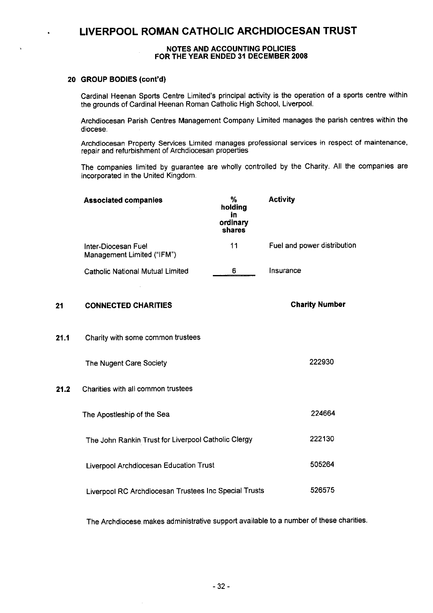#### **NOTES AND ACCOUNTING POLICIES FOR THE YEAR ENDED 31 DECEMBER 2008**

### **20 GROUP BODIES (cont'd)**

Cardinal Heenan Sports Centre Limited's principal activity is the operation of a sports centre within the grounds of Cardinal Heenan Roman Catholic High School, Liverpool.

Archdiocesan Parish Centres Management Company Limited manages the parish centres within the diocese.

Archdiocesan Property Services Limited manages professional services in respect of maintenance, repair and refurbishment of Archdiocesan properties

The companies limited by guarantee are wholly controlled by the Charity. All the companies are incorporated in the United Kingdom.

|      | <b>Associated companies</b>                           | %<br>holding<br>in<br>ordinary<br>shares | <b>Activity</b>             |
|------|-------------------------------------------------------|------------------------------------------|-----------------------------|
|      | Inter-Diocesan Fuel<br>Management Limited ("IFM")     | 11                                       | Fuel and power distribution |
|      | <b>Catholic National Mutual Limited</b>               | 6                                        | Insurance                   |
| 21   | <b>CONNECTED CHARITIES</b>                            |                                          | <b>Charity Number</b>       |
| 21.1 | Charity with some common trustees                     |                                          |                             |
|      | The Nugent Care Society                               |                                          | 222930                      |
| 21.2 | Charities with all common trustees                    |                                          |                             |
|      | The Apostleship of the Sea                            |                                          | 224664                      |
|      | The John Rankin Trust for Liverpool Catholic Clergy   |                                          | 222130                      |
|      | Liverpool Archdiocesan Education Trust                |                                          | 505264                      |
|      | Liverpool RC Archdiocesan Trustees Inc Special Trusts |                                          | 526575                      |
|      |                                                       |                                          |                             |

The Archdiocese. makes administrative support available to a number of these charities.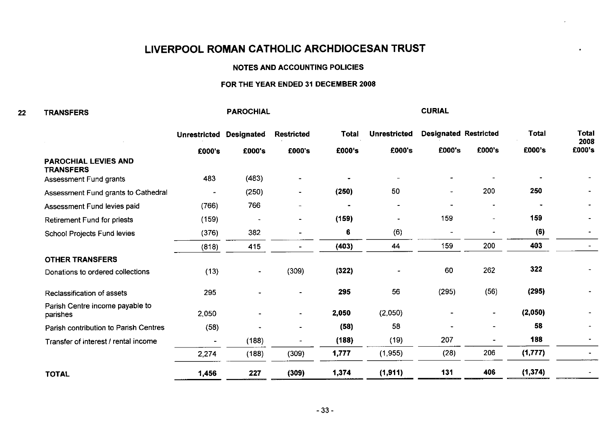**PAROCHIAL**

#### **NOTES AND ACCOUNTING POLICIES**

### **FOR** THE **YEAR ENDED 31 DECEMBER 2008**

#### **22 TRANSFERS**

**Total Unrestricted Designated Restricted Total Unrestricted Designated** Restricted Total **2008** £000's £000's **£000's** £000's **EOM's £000's £000's £000's £000's PAROCHIAL LEVIES AND TRANSFERS** 483 (483)  $\blacksquare$ Assessment Fund grants  $\mathbf{r}$  $\blacksquare$  $\blacksquare$  $\sim$ 200 **250** (250) **(250)** 50 Assessment Fund grants to Cathedral  $\overline{a}$  $\overline{a}$ Assessment Fund levies paid (766) 766 -  $\sim$  $\ddot{\phantom{1}}$ 159 (159) **(159) 159** Retirement Fund for priests  $\blacksquare$  $\overline{a}$ **(6)** School Projects Fund levies (376) 382 6 (6)  $\overline{a}$  $\overline{a}$ (818) 415 **(403)** 44 159 200 **403 OTHER TRANSFERS 322** 60 262 (309) **(322)** (13)  $\sim$ Donations to ordered collections  $\overline{a}$ (295) **(295)** 295 **295** 56 (56) Reclassification of assets -  $\overline{a}$ Parish Centre income payable to 2,050 **2,050** (2,050) **(2,050)** parishes  $\blacksquare$  $\blacksquare$  $\tilde{\phantom{a}}$ **58** Parish contribution to Parish Centres (58) **(58)** 58  $\ddot{\phantom{a}}$  $\overline{a}$  $\ddot{\phantom{a}}$ 207 **188** (188) **(188)** (19)  $\overline{a}$ Transfer of interest / rental income  $\blacksquare$  $\overline{a}$ 2,274 (188) (309) **1,777** (1,955) (28) 206 **(1,777)** 

**CURIAL**

**TOTAL**

**1,456 227 (309) 1,374 (1,911) 131 406 (1,374)**